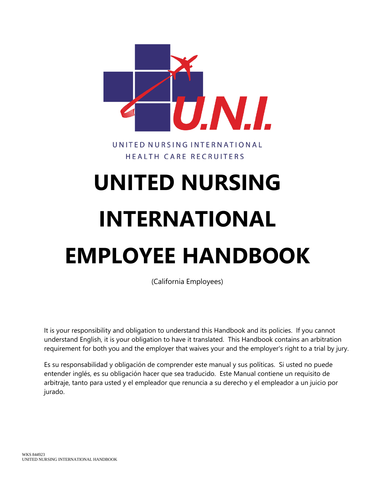

UNITED NURSING INTERNATIONAL HEALTH CARE RECRUITERS

# **UNITED NURSING INTERNATIONAL EMPLOYEE HANDBOOK**

(California Employees)

It is your responsibility and obligation to understand this Handbook and its policies. If you cannot understand English, it is your obligation to have it translated. This Handbook contains an arbitration requirement for both you and the employer that waives your and the employer's right to a trial by jury.

Es su responsabilidad y obligación de comprender este manual y sus políticas. Si usted no puede entender inglés, es su obligación hacer que sea traducido. Este Manual contiene un requisito de arbitraje, tanto para usted y el empleador que renuncia a su derecho y el empleador a un juicio por jurado.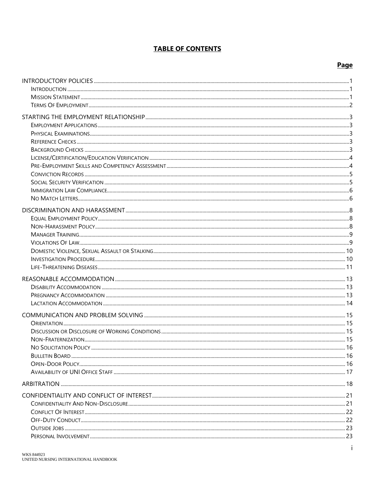#### **TABLE OF CONTENTS**

#### Page

| NO SOLICITATION POLICY | 16 |
|------------------------|----|
|                        |    |
|                        |    |
|                        |    |
|                        |    |
|                        |    |
|                        |    |
|                        |    |
|                        |    |
|                        |    |
|                        |    |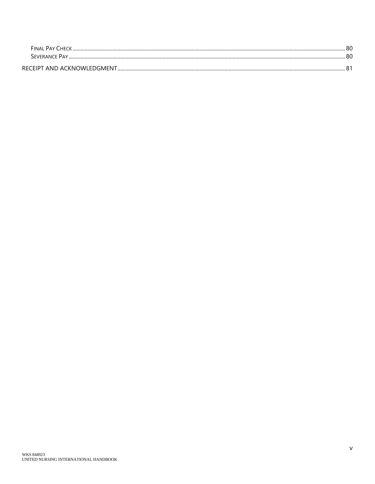| <b>FINAL PAY CHECK</b>      | 80 |
|-----------------------------|----|
| <b>SEVERANCE PAY.</b>       | 80 |
| RECEIPT AND ACKNOWLEDGMENT. |    |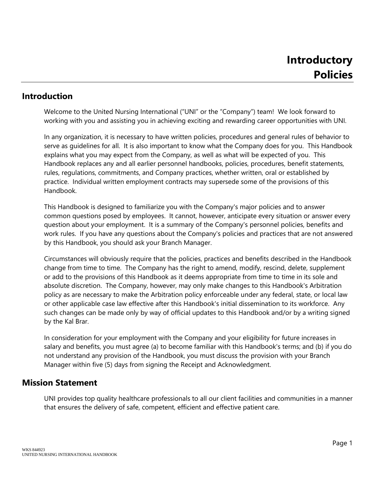#### **Introduction**

Welcome to the United Nursing International ("UNI" or the "Company") team! We look forward to working with you and assisting you in achieving exciting and rewarding career opportunities with UNI.

In any organization, it is necessary to have written policies, procedures and general rules of behavior to serve as guidelines for all. It is also important to know what the Company does for you. This Handbook explains what you may expect from the Company, as well as what will be expected of you. This Handbook replaces any and all earlier personnel handbooks, policies, procedures, benefit statements, rules, regulations, commitments, and Company practices, whether written, oral or established by practice. Individual written employment contracts may supersede some of the provisions of this Handbook.

This Handbook is designed to familiarize you with the Company's major policies and to answer common questions posed by employees. It cannot, however, anticipate every situation or answer every question about your employment. It is a summary of the Company's personnel policies, benefits and work rules. If you have any questions about the Company's policies and practices that are not answered by this Handbook, you should ask your Branch Manager.

Circumstances will obviously require that the policies, practices and benefits described in the Handbook change from time to time. The Company has the right to amend, modify, rescind, delete, supplement or add to the provisions of this Handbook as it deems appropriate from time to time in its sole and absolute discretion. The Company, however, may only make changes to this Handbook's Arbitration policy as are necessary to make the Arbitration policy enforceable under any federal, state, or local law or other applicable case law effective after this Handbook's initial dissemination to its workforce. Any such changes can be made only by way of official updates to this Handbook and/or by a writing signed by the Kal Brar.

In consideration for your employment with the Company and your eligibility for future increases in salary and benefits, you must agree (a) to become familiar with this Handbook's terms; and (b) if you do not understand any provision of the Handbook, you must discuss the provision with your Branch Manager within five (5) days from signing the Receipt and Acknowledgment.

#### **Mission Statement**

UNI provides top quality healthcare professionals to all our client facilities and communities in a manner that ensures the delivery of safe, competent, efficient and effective patient care.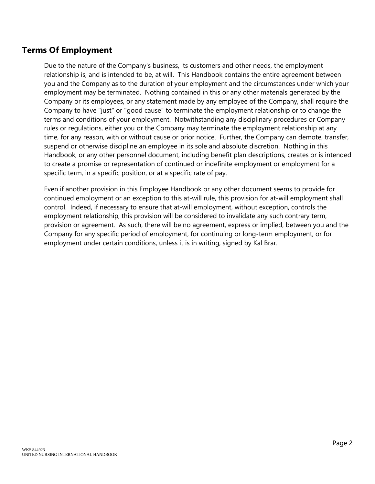# **Terms Of Employment**

Due to the nature of the Company's business, its customers and other needs, the employment relationship is, and is intended to be, at will. This Handbook contains the entire agreement between you and the Company as to the duration of your employment and the circumstances under which your employment may be terminated. Nothing contained in this or any other materials generated by the Company or its employees, or any statement made by any employee of the Company, shall require the Company to have "just" or "good cause" to terminate the employment relationship or to change the terms and conditions of your employment. Notwithstanding any disciplinary procedures or Company rules or regulations, either you or the Company may terminate the employment relationship at any time, for any reason, with or without cause or prior notice. Further, the Company can demote, transfer, suspend or otherwise discipline an employee in its sole and absolute discretion. Nothing in this Handbook, or any other personnel document, including benefit plan descriptions, creates or is intended to create a promise or representation of continued or indefinite employment or employment for a specific term, in a specific position, or at a specific rate of pay.

Even if another provision in this Employee Handbook or any other document seems to provide for continued employment or an exception to this at-will rule, this provision for at-will employment shall control. Indeed, if necessary to ensure that at-will employment, without exception, controls the employment relationship, this provision will be considered to invalidate any such contrary term, provision or agreement. As such, there will be no agreement, express or implied, between you and the Company for any specific period of employment, for continuing or long-term employment, or for employment under certain conditions, unless it is in writing, signed by Kal Brar.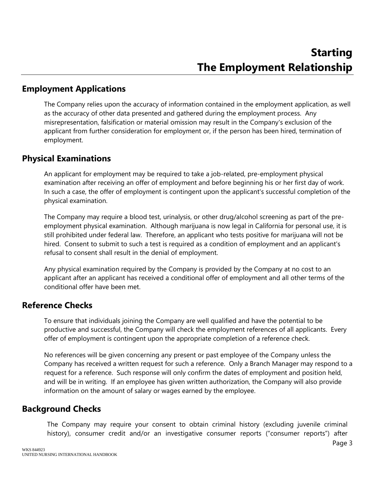#### **Employment Applications**

The Company relies upon the accuracy of information contained in the employment application, as well as the accuracy of other data presented and gathered during the employment process. Any misrepresentation, falsification or material omission may result in the Company's exclusion of the applicant from further consideration for employment or, if the person has been hired, termination of employment.

#### **Physical Examinations**

An applicant for employment may be required to take a job-related, pre-employment physical examination after receiving an offer of employment and before beginning his or her first day of work. In such a case, the offer of employment is contingent upon the applicant's successful completion of the physical examination.

The Company may require a blood test, urinalysis, or other drug/alcohol screening as part of the preemployment physical examination. Although marijuana is now legal in California for personal use, it is still prohibited under federal law. Therefore, an applicant who tests positive for marijuana will not be hired. Consent to submit to such a test is required as a condition of employment and an applicant's refusal to consent shall result in the denial of employment.

Any physical examination required by the Company is provided by the Company at no cost to an applicant after an applicant has received a conditional offer of employment and all other terms of the conditional offer have been met.

#### **Reference Checks**

To ensure that individuals joining the Company are well qualified and have the potential to be productive and successful, the Company will check the employment references of all applicants. Every offer of employment is contingent upon the appropriate completion of a reference check.

No references will be given concerning any present or past employee of the Company unless the Company has received a written request for such a reference. Only a Branch Manager may respond to a request for a reference. Such response will only confirm the dates of employment and position held, and will be in writing. If an employee has given written authorization, the Company will also provide information on the amount of salary or wages earned by the employee.

#### **Background Checks**

The Company may require your consent to obtain criminal history (excluding juvenile criminal history), consumer credit and/or an investigative consumer reports ("consumer reports") after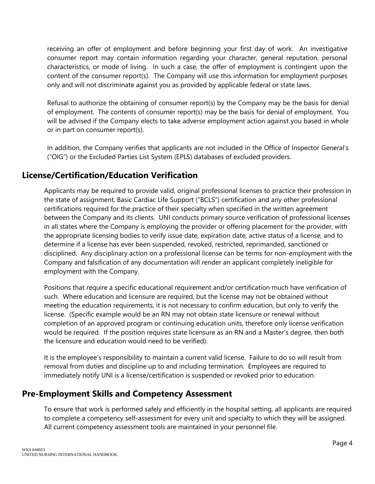receiving an offer of employment and before beginning your first day of work. An investigative consumer report may contain information regarding your character, general reputation, personal characteristics, or mode of living. In such a case, the offer of employment is contingent upon the content of the consumer report(s). The Company will use this information for employment purposes only and will not discriminate against you as provided by applicable federal or state laws.

Refusal to authorize the obtaining of consumer report(s) by the Company may be the basis for denial of employment. The contents of consumer report(s) may be the basis for denial of employment. You will be advised if the Company elects to take adverse employment action against you based in whole or in part on consumer report(s).

In addition, the Company verifies that applicants are not included in the Office of Inspector General's ("OIG") or the Excluded Parties List System (EPLS) databases of excluded providers.

# **License/Certification/Education Verification**

Applicants may be required to provide valid, original professional licenses to practice their profession in the state of assignment, Basic Cardiac Life Support ("BCLS") certification and any other professional certifications required for the practice of their specialty when specified in the written agreement between the Company and its clients. UNI conducts primary source verification of professional licenses in all states where the Company is employing the provider or offering placement for the provider, with the appropriate licensing bodies to verify issue date, expiration date, active status of a license, and to determine if a license has ever been suspended, revoked, restricted, reprimanded, sanctioned or disciplined. Any disciplinary action on a professional license can be terms for non-employment with the Company and falsification of any documentation will render an applicant completely ineligible for employment with the Company.

Positions that require a specific educational requirement and/or certification much have verification of such. Where education and licensure are required, but the license may not be obtained without meeting the education requirements, it is not necessary to confirm education, but only to verify the license. (Specific example would be an RN may not obtain state licensure or renewal without completion of an approved program or continuing education units, therefore only license verification would be required. If the position requires state licensure as an RN and a Master's degree, then both the licensure and education would need to be verified).

It is the employee's responsibility to maintain a current valid license. Failure to do so will result from removal from duties and discipline up to and including termination. Employees are required to immediately notify UNI is a license/certification is suspended or revoked prior to education.

# **Pre-Employment Skills and Competency Assessment**

To ensure that work is performed safely and efficiently in the hospital setting, all applicants are required to complete a competency self-assessment for every unit and specialty to which they will be assigned. All current competency assessment tools are maintained in your personnel file.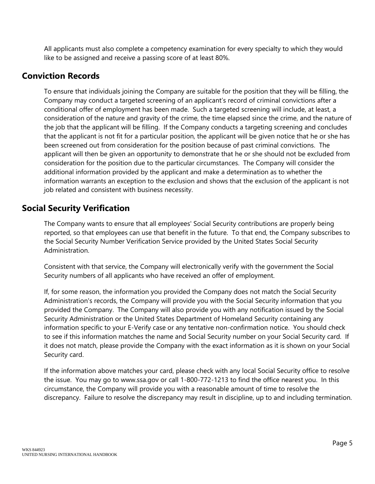All applicants must also complete a competency examination for every specialty to which they would like to be assigned and receive a passing score of at least 80%.

#### **Conviction Records**

To ensure that individuals joining the Company are suitable for the position that they will be filling, the Company may conduct a targeted screening of an applicant's record of criminal convictions after a conditional offer of employment has been made. Such a targeted screening will include, at least, a consideration of the nature and gravity of the crime, the time elapsed since the crime, and the nature of the job that the applicant will be filling. If the Company conducts a targeting screening and concludes that the applicant is not fit for a particular position, the applicant will be given notice that he or she has been screened out from consideration for the position because of past criminal convictions. The applicant will then be given an opportunity to demonstrate that he or she should not be excluded from consideration for the position due to the particular circumstances. The Company will consider the additional information provided by the applicant and make a determination as to whether the information warrants an exception to the exclusion and shows that the exclusion of the applicant is not job related and consistent with business necessity.

# **Social Security Verification**

The Company wants to ensure that all employees' Social Security contributions are properly being reported, so that employees can use that benefit in the future. To that end, the Company subscribes to the Social Security Number Verification Service provided by the United States Social Security Administration.

Consistent with that service, the Company will electronically verify with the government the Social Security numbers of all applicants who have received an offer of employment.

If, for some reason, the information you provided the Company does not match the Social Security Administration's records, the Company will provide you with the Social Security information that you provided the Company. The Company will also provide you with any notification issued by the Social Security Administration or the United States Department of Homeland Security containing any information specific to your E-Verify case or any tentative non-confirmation notice. You should check to see if this information matches the name and Social Security number on your Social Security card. If it does not match, please provide the Company with the exact information as it is shown on your Social Security card.

If the information above matches your card, please check with any local Social Security office to resolve the issue. You may go to www.ssa.gov or call 1-800-772-1213 to find the office nearest you. In this circumstance, the Company will provide you with a reasonable amount of time to resolve the discrepancy. Failure to resolve the discrepancy may result in discipline, up to and including termination.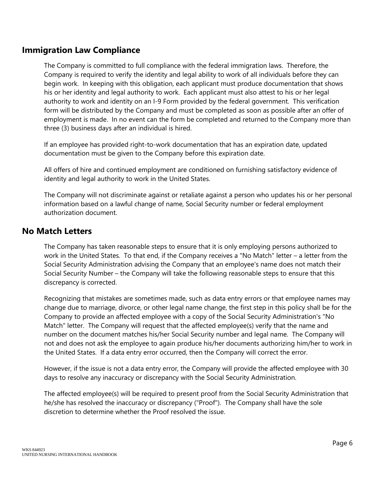# **Immigration Law Compliance**

The Company is committed to full compliance with the federal immigration laws. Therefore, the Company is required to verify the identity and legal ability to work of all individuals before they can begin work. In keeping with this obligation, each applicant must produce documentation that shows his or her identity and legal authority to work. Each applicant must also attest to his or her legal authority to work and identity on an I-9 Form provided by the federal government. This verification form will be distributed by the Company and must be completed as soon as possible after an offer of employment is made. In no event can the form be completed and returned to the Company more than three (3) business days after an individual is hired.

If an employee has provided right-to-work documentation that has an expiration date, updated documentation must be given to the Company before this expiration date.

All offers of hire and continued employment are conditioned on furnishing satisfactory evidence of identity and legal authority to work in the United States.

The Company will not discriminate against or retaliate against a person who updates his or her personal information based on a lawful change of name, Social Security number or federal employment authorization document.

#### **No Match Letters**

The Company has taken reasonable steps to ensure that it is only employing persons authorized to work in the United States. To that end, if the Company receives a "No Match" letter – a letter from the Social Security Administration advising the Company that an employee's name does not match their Social Security Number – the Company will take the following reasonable steps to ensure that this discrepancy is corrected.

Recognizing that mistakes are sometimes made, such as data entry errors or that employee names may change due to marriage, divorce, or other legal name change, the first step in this policy shall be for the Company to provide an affected employee with a copy of the Social Security Administration's "No Match" letter. The Company will request that the affected employee(s) verify that the name and number on the document matches his/her Social Security number and legal name. The Company will not and does not ask the employee to again produce his/her documents authorizing him/her to work in the United States. If a data entry error occurred, then the Company will correct the error.

However, if the issue is not a data entry error, the Company will provide the affected employee with 30 days to resolve any inaccuracy or discrepancy with the Social Security Administration.

The affected employee(s) will be required to present proof from the Social Security Administration that he/she has resolved the inaccuracy or discrepancy ("Proof"). The Company shall have the sole discretion to determine whether the Proof resolved the issue.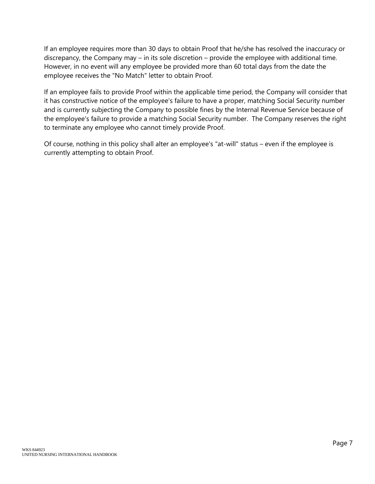If an employee requires more than 30 days to obtain Proof that he/she has resolved the inaccuracy or discrepancy, the Company may – in its sole discretion – provide the employee with additional time. However, in no event will any employee be provided more than 60 total days from the date the employee receives the "No Match" letter to obtain Proof.

If an employee fails to provide Proof within the applicable time period, the Company will consider that it has constructive notice of the employee's failure to have a proper, matching Social Security number and is currently subjecting the Company to possible fines by the Internal Revenue Service because of the employee's failure to provide a matching Social Security number. The Company reserves the right to terminate any employee who cannot timely provide Proof.

Of course, nothing in this policy shall alter an employee's "at-will" status – even if the employee is currently attempting to obtain Proof.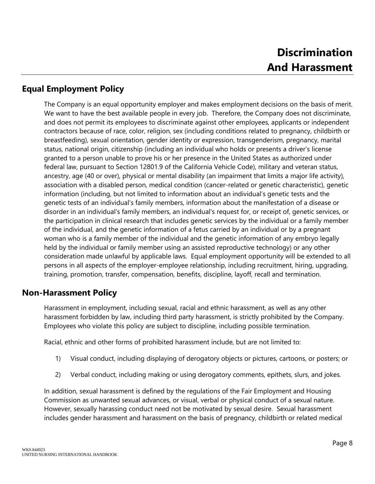# **Equal Employment Policy**

The Company is an equal opportunity employer and makes employment decisions on the basis of merit. We want to have the best available people in every job. Therefore, the Company does not discriminate, and does not permit its employees to discriminate against other employees, applicants or independent contractors because of race, color, religion, sex (including conditions related to pregnancy, childbirth or breastfeeding), sexual orientation, gender identity or expression, transgenderism, pregnancy, marital status, national origin, citizenship (including an individual who holds or presents a driver's license granted to a person unable to prove his or her presence in the United States as authorized under federal law, pursuant to Section 12801.9 of the California Vehicle Code), military and veteran status, ancestry, age (40 or over), physical or mental disability (an impairment that limits a major life activity), association with a disabled person, medical condition (cancer-related or genetic characteristic), genetic information (including, but not limited to information about an individual's genetic tests and the genetic tests of an individual's family members, information about the manifestation of a disease or disorder in an individual's family members, an individual's request for, or receipt of, genetic services, or the participation in clinical research that includes genetic services by the individual or a family member of the individual, and the genetic information of a fetus carried by an individual or by a pregnant woman who is a family member of the individual and the genetic information of any embryo legally held by the individual or family member using an assisted reproductive technology) or any other consideration made unlawful by applicable laws. Equal employment opportunity will be extended to all persons in all aspects of the employer-employee relationship, including recruitment, hiring, upgrading, training, promotion, transfer, compensation, benefits, discipline, layoff, recall and termination.

# **Non-Harassment Policy**

Harassment in employment, including sexual, racial and ethnic harassment, as well as any other harassment forbidden by law, including third party harassment, is strictly prohibited by the Company. Employees who violate this policy are subject to discipline, including possible termination.

Racial, ethnic and other forms of prohibited harassment include, but are not limited to:

- 1) Visual conduct, including displaying of derogatory objects or pictures, cartoons, or posters; or
- 2) Verbal conduct, including making or using derogatory comments, epithets, slurs, and jokes.

In addition, sexual harassment is defined by the regulations of the Fair Employment and Housing Commission as unwanted sexual advances, or visual, verbal or physical conduct of a sexual nature. However, sexually harassing conduct need not be motivated by sexual desire. Sexual harassment includes gender harassment and harassment on the basis of pregnancy, childbirth or related medical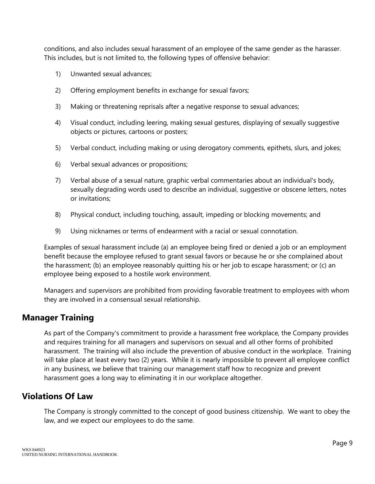conditions, and also includes sexual harassment of an employee of the same gender as the harasser. This includes, but is not limited to, the following types of offensive behavior:

- 1) Unwanted sexual advances;
- 2) Offering employment benefits in exchange for sexual favors;
- 3) Making or threatening reprisals after a negative response to sexual advances;
- 4) Visual conduct, including leering, making sexual gestures, displaying of sexually suggestive objects or pictures, cartoons or posters;
- 5) Verbal conduct, including making or using derogatory comments, epithets, slurs, and jokes;
- 6) Verbal sexual advances or propositions;
- 7) Verbal abuse of a sexual nature, graphic verbal commentaries about an individual's body, sexually degrading words used to describe an individual, suggestive or obscene letters, notes or invitations;
- 8) Physical conduct, including touching, assault, impeding or blocking movements; and
- 9) Using nicknames or terms of endearment with a racial or sexual connotation.

Examples of sexual harassment include (a) an employee being fired or denied a job or an employment benefit because the employee refused to grant sexual favors or because he or she complained about the harassment; (b) an employee reasonably quitting his or her job to escape harassment; or (c) an employee being exposed to a hostile work environment.

Managers and supervisors are prohibited from providing favorable treatment to employees with whom they are involved in a consensual sexual relationship.

#### **Manager Training**

As part of the Company's commitment to provide a harassment free workplace, the Company provides and requires training for all managers and supervisors on sexual and all other forms of prohibited harassment. The training will also include the prevention of abusive conduct in the workplace. Training will take place at least every two (2) years. While it is nearly impossible to prevent all employee conflict in any business, we believe that training our management staff how to recognize and prevent harassment goes a long way to eliminating it in our workplace altogether.

#### **Violations Of Law**

The Company is strongly committed to the concept of good business citizenship. We want to obey the law, and we expect our employees to do the same.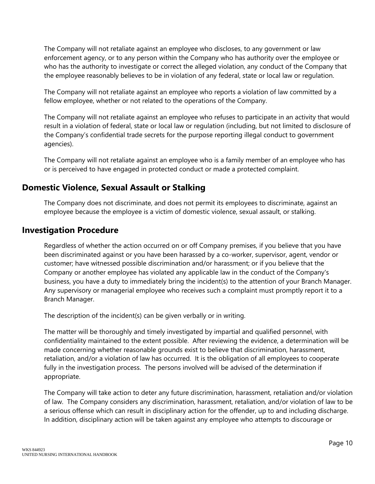The Company will not retaliate against an employee who discloses, to any government or law enforcement agency, or to any person within the Company who has authority over the employee or who has the authority to investigate or correct the alleged violation, any conduct of the Company that the employee reasonably believes to be in violation of any federal, state or local law or regulation.

The Company will not retaliate against an employee who reports a violation of law committed by a fellow employee, whether or not related to the operations of the Company.

The Company will not retaliate against an employee who refuses to participate in an activity that would result in a violation of federal, state or local law or regulation (including, but not limited to disclosure of the Company's confidential trade secrets for the purpose reporting illegal conduct to government agencies).

The Company will not retaliate against an employee who is a family member of an employee who has or is perceived to have engaged in protected conduct or made a protected complaint.

# **Domestic Violence, Sexual Assault or Stalking**

The Company does not discriminate, and does not permit its employees to discriminate, against an employee because the employee is a victim of domestic violence, sexual assault, or stalking.

#### **Investigation Procedure**

Regardless of whether the action occurred on or off Company premises, if you believe that you have been discriminated against or you have been harassed by a co-worker, supervisor, agent, vendor or customer; have witnessed possible discrimination and/or harassment; or if you believe that the Company or another employee has violated any applicable law in the conduct of the Company's business, you have a duty to immediately bring the incident(s) to the attention of your Branch Manager. Any supervisory or managerial employee who receives such a complaint must promptly report it to a Branch Manager.

The description of the incident(s) can be given verbally or in writing.

The matter will be thoroughly and timely investigated by impartial and qualified personnel, with confidentiality maintained to the extent possible. After reviewing the evidence, a determination will be made concerning whether reasonable grounds exist to believe that discrimination, harassment, retaliation, and/or a violation of law has occurred. It is the obligation of all employees to cooperate fully in the investigation process. The persons involved will be advised of the determination if appropriate.

The Company will take action to deter any future discrimination, harassment, retaliation and/or violation of law. The Company considers any discrimination, harassment, retaliation, and/or violation of law to be a serious offense which can result in disciplinary action for the offender, up to and including discharge. In addition, disciplinary action will be taken against any employee who attempts to discourage or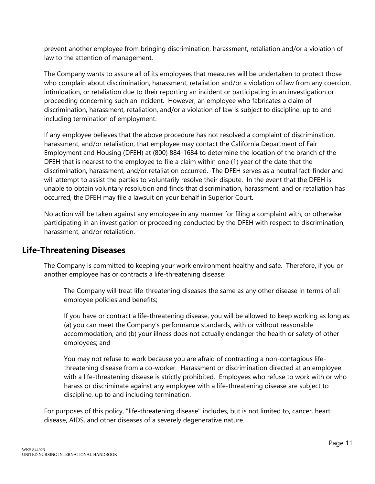prevent another employee from bringing discrimination, harassment, retaliation and/or a violation of law to the attention of management.

The Company wants to assure all of its employees that measures will be undertaken to protect those who complain about discrimination, harassment, retaliation and/or a violation of law from any coercion, intimidation, or retaliation due to their reporting an incident or participating in an investigation or proceeding concerning such an incident. However, an employee who fabricates a claim of discrimination, harassment, retaliation, and/or a violation of law is subject to discipline, up to and including termination of employment.

If any employee believes that the above procedure has not resolved a complaint of discrimination, harassment, and/or retaliation, that employee may contact the California Department of Fair Employment and Housing (DFEH) at (800) 884-1684 to determine the location of the branch of the DFEH that is nearest to the employee to file a claim within one (1) year of the date that the discrimination, harassment, and/or retaliation occurred. The DFEH serves as a neutral fact-finder and will attempt to assist the parties to voluntarily resolve their dispute. In the event that the DFEH is unable to obtain voluntary resolution and finds that discrimination, harassment, and or retaliation has occurred, the DFEH may file a lawsuit on your behalf in Superior Court.

No action will be taken against any employee in any manner for filing a complaint with, or otherwise participating in an investigation or proceeding conducted by the DFEH with respect to discrimination, harassment, and/or retaliation.

# **Life-Threatening Diseases**

The Company is committed to keeping your work environment healthy and safe. Therefore, if you or another employee has or contracts a life-threatening disease:

The Company will treat life-threatening diseases the same as any other disease in terms of all employee policies and benefits;

If you have or contract a life-threatening disease, you will be allowed to keep working as long as: (a) you can meet the Company's performance standards, with or without reasonable accommodation, and (b) your illness does not actually endanger the health or safety of other employees; and

You may not refuse to work because you are afraid of contracting a non-contagious lifethreatening disease from a co-worker. Harassment or discrimination directed at an employee with a life-threatening disease is strictly prohibited. Employees who refuse to work with or who harass or discriminate against any employee with a life-threatening disease are subject to discipline, up to and including termination.

For purposes of this policy, "life-threatening disease" includes, but is not limited to, cancer, heart disease, AIDS, and other diseases of a severely degenerative nature.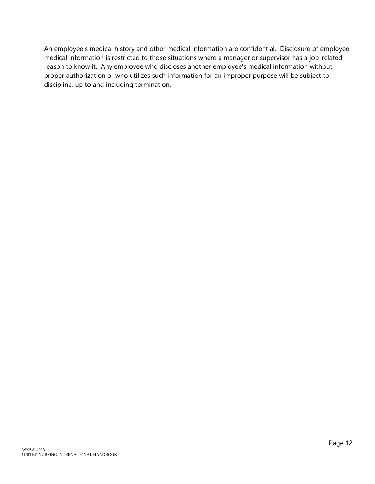An employee's medical history and other medical information are confidential. Disclosure of employee medical information is restricted to those situations where a manager or supervisor has a job-related reason to know it. Any employee who discloses another employee's medical information without proper authorization or who utilizes such information for an improper purpose will be subject to discipline, up to and including termination.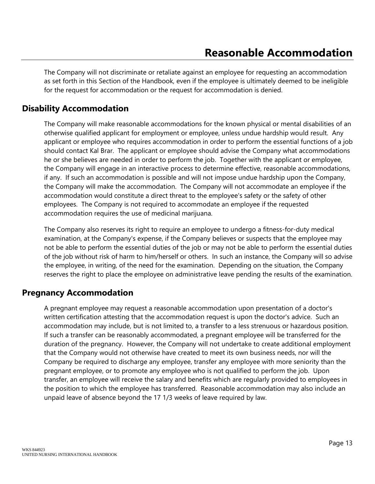The Company will not discriminate or retaliate against an employee for requesting an accommodation as set forth in this Section of the Handbook, even if the employee is ultimately deemed to be ineligible for the request for accommodation or the request for accommodation is denied.

# **Disability Accommodation**

The Company will make reasonable accommodations for the known physical or mental disabilities of an otherwise qualified applicant for employment or employee, unless undue hardship would result. Any applicant or employee who requires accommodation in order to perform the essential functions of a job should contact Kal Brar. The applicant or employee should advise the Company what accommodations he or she believes are needed in order to perform the job. Together with the applicant or employee, the Company will engage in an interactive process to determine effective, reasonable accommodations, if any. If such an accommodation is possible and will not impose undue hardship upon the Company, the Company will make the accommodation. The Company will not accommodate an employee if the accommodation would constitute a direct threat to the employee's safety or the safety of other employees. The Company is not required to accommodate an employee if the requested accommodation requires the use of medicinal marijuana.

The Company also reserves its right to require an employee to undergo a fitness-for-duty medical examination, at the Company's expense, if the Company believes or suspects that the employee may not be able to perform the essential duties of the job or may not be able to perform the essential duties of the job without risk of harm to him/herself or others. In such an instance, the Company will so advise the employee, in writing, of the need for the examination. Depending on the situation, the Company reserves the right to place the employee on administrative leave pending the results of the examination.

#### **Pregnancy Accommodation**

A pregnant employee may request a reasonable accommodation upon presentation of a doctor's written certification attesting that the accommodation request is upon the doctor's advice. Such an accommodation may include, but is not limited to, a transfer to a less strenuous or hazardous position. If such a transfer can be reasonably accommodated, a pregnant employee will be transferred for the duration of the pregnancy. However, the Company will not undertake to create additional employment that the Company would not otherwise have created to meet its own business needs, nor will the Company be required to discharge any employee, transfer any employee with more seniority than the pregnant employee, or to promote any employee who is not qualified to perform the job. Upon transfer, an employee will receive the salary and benefits which are regularly provided to employees in the position to which the employee has transferred. Reasonable accommodation may also include an unpaid leave of absence beyond the 17 1/3 weeks of leave required by law.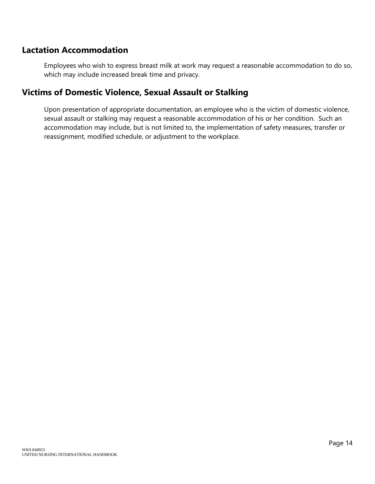# **Lactation Accommodation**

Employees who wish to express breast milk at work may request a reasonable accommodation to do so, which may include increased break time and privacy.

# **Victims of Domestic Violence, Sexual Assault or Stalking**

Upon presentation of appropriate documentation, an employee who is the victim of domestic violence, sexual assault or stalking may request a reasonable accommodation of his or her condition. Such an accommodation may include, but is not limited to, the implementation of safety measures, transfer or reassignment, modified schedule, or adjustment to the workplace.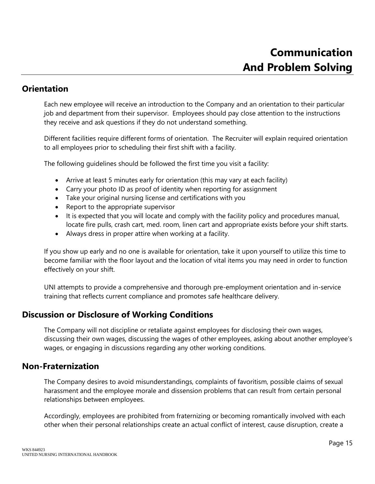#### **Orientation**

Each new employee will receive an introduction to the Company and an orientation to their particular job and department from their supervisor. Employees should pay close attention to the instructions they receive and ask questions if they do not understand something.

Different facilities require different forms of orientation. The Recruiter will explain required orientation to all employees prior to scheduling their first shift with a facility.

The following guidelines should be followed the first time you visit a facility:

- Arrive at least 5 minutes early for orientation (this may vary at each facility)
- Carry your photo ID as proof of identity when reporting for assignment
- Take your original nursing license and certifications with you
- Report to the appropriate supervisor
- It is expected that you will locate and comply with the facility policy and procedures manual, locate fire pulls, crash cart, med. room, linen cart and appropriate exists before your shift starts.
- Always dress in proper attire when working at a facility.

If you show up early and no one is available for orientation, take it upon yourself to utilize this time to become familiar with the floor layout and the location of vital items you may need in order to function effectively on your shift.

UNI attempts to provide a comprehensive and thorough pre-employment orientation and in-service training that reflects current compliance and promotes safe healthcare delivery.

# **Discussion or Disclosure of Working Conditions**

The Company will not discipline or retaliate against employees for disclosing their own wages, discussing their own wages, discussing the wages of other employees, asking about another employee's wages, or engaging in discussions regarding any other working conditions.

#### **Non-Fraternization**

The Company desires to avoid misunderstandings, complaints of favoritism, possible claims of sexual harassment and the employee morale and dissension problems that can result from certain personal relationships between employees.

Accordingly, employees are prohibited from fraternizing or becoming romantically involved with each other when their personal relationships create an actual conflict of interest, cause disruption, create a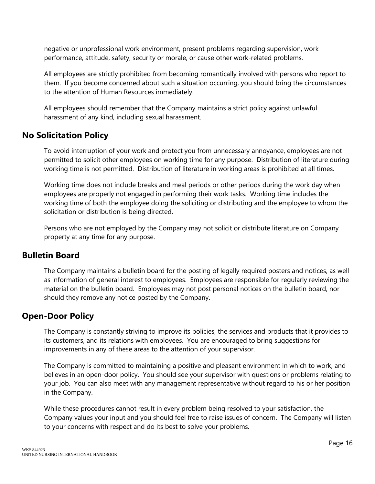negative or unprofessional work environment, present problems regarding supervision, work performance, attitude, safety, security or morale, or cause other work-related problems.

All employees are strictly prohibited from becoming romantically involved with persons who report to them. If you become concerned about such a situation occurring, you should bring the circumstances to the attention of Human Resources immediately.

All employees should remember that the Company maintains a strict policy against unlawful harassment of any kind, including sexual harassment.

# **No Solicitation Policy**

To avoid interruption of your work and protect you from unnecessary annoyance, employees are not permitted to solicit other employees on working time for any purpose. Distribution of literature during working time is not permitted. Distribution of literature in working areas is prohibited at all times.

Working time does not include breaks and meal periods or other periods during the work day when employees are properly not engaged in performing their work tasks. Working time includes the working time of both the employee doing the soliciting or distributing and the employee to whom the solicitation or distribution is being directed.

Persons who are not employed by the Company may not solicit or distribute literature on Company property at any time for any purpose.

#### **Bulletin Board**

The Company maintains a bulletin board for the posting of legally required posters and notices, as well as information of general interest to employees. Employees are responsible for regularly reviewing the material on the bulletin board. Employees may not post personal notices on the bulletin board, nor should they remove any notice posted by the Company.

# **Open-Door Policy**

The Company is constantly striving to improve its policies, the services and products that it provides to its customers, and its relations with employees. You are encouraged to bring suggestions for improvements in any of these areas to the attention of your supervisor.

The Company is committed to maintaining a positive and pleasant environment in which to work, and believes in an open-door policy. You should see your supervisor with questions or problems relating to your job. You can also meet with any management representative without regard to his or her position in the Company.

While these procedures cannot result in every problem being resolved to your satisfaction, the Company values your input and you should feel free to raise issues of concern. The Company will listen to your concerns with respect and do its best to solve your problems.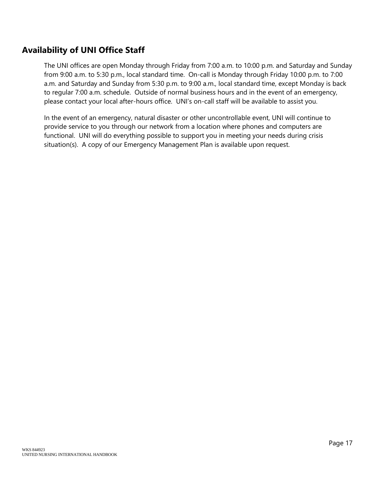# **Availability of UNI Office Staff**

The UNI offices are open Monday through Friday from 7:00 a.m. to 10:00 p.m. and Saturday and Sunday from 9:00 a.m. to 5:30 p.m., local standard time. On-call is Monday through Friday 10:00 p.m. to 7:00 a.m. and Saturday and Sunday from 5:30 p.m. to 9:00 a.m., local standard time, except Monday is back to regular 7:00 a.m. schedule. Outside of normal business hours and in the event of an emergency, please contact your local after-hours office. UNI's on-call staff will be available to assist you.

In the event of an emergency, natural disaster or other uncontrollable event, UNI will continue to provide service to you through our network from a location where phones and computers are functional. UNI will do everything possible to support you in meeting your needs during crisis situation(s). A copy of our Emergency Management Plan is available upon request.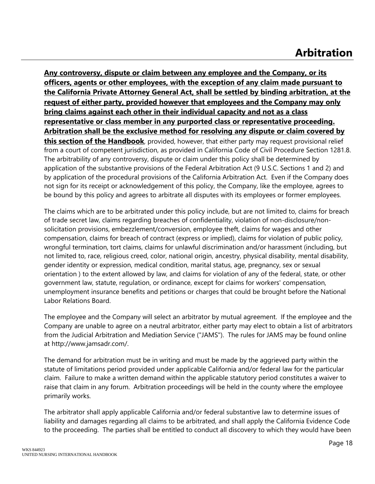# **Arbitration**

**Any controversy, dispute or claim between any employee and the Company, or its officers, agents or other employees, with the exception of any claim made pursuant to the California Private Attorney General Act, shall be settled by binding arbitration, at the request of either party, provided however that employees and the Company may only bring claims against each other in their individual capacity and not as a class representative or class member in any purported class or representative proceeding. Arbitration shall be the exclusive method for resolving any dispute or claim covered by this section of the Handbook**, provided, however, that either party may request provisional relief from a court of competent jurisdiction, as provided in California Code of Civil Procedure Section 1281.8. The arbitrability of any controversy, dispute or claim under this policy shall be determined by application of the substantive provisions of the Federal Arbitration Act (9 U.S.C. Sections 1 and 2) and by application of the procedural provisions of the California Arbitration Act. Even if the Company does not sign for its receipt or acknowledgement of this policy, the Company, like the employee, agrees to be bound by this policy and agrees to arbitrate all disputes with its employees or former employees.

The claims which are to be arbitrated under this policy include, but are not limited to, claims for breach of trade secret law, claims regarding breaches of confidentiality, violation of non-disclosure/nonsolicitation provisions, embezzlement/conversion, employee theft, claims for wages and other compensation, claims for breach of contract (express or implied), claims for violation of public policy, wrongful termination, tort claims, claims for unlawful discrimination and/or harassment (including, but not limited to, race, religious creed, color, national origin, ancestry, physical disability, mental disability, gender identity or expression, medical condition, marital status, age, pregnancy, sex or sexual orientation ) to the extent allowed by law, and claims for violation of any of the federal, state, or other government law, statute, regulation, or ordinance, except for claims for workers' compensation, unemployment insurance benefits and petitions or charges that could be brought before the National Labor Relations Board.

The employee and the Company will select an arbitrator by mutual agreement. If the employee and the Company are unable to agree on a neutral arbitrator, either party may elect to obtain a list of arbitrators from the Judicial Arbitration and Mediation Service ("JAMS"). The rules for JAMS may be found online at http://www.jamsadr.com/.

The demand for arbitration must be in writing and must be made by the aggrieved party within the statute of limitations period provided under applicable California and/or federal law for the particular claim. Failure to make a written demand within the applicable statutory period constitutes a waiver to raise that claim in any forum. Arbitration proceedings will be held in the county where the employee primarily works.

The arbitrator shall apply applicable California and/or federal substantive law to determine issues of liability and damages regarding all claims to be arbitrated, and shall apply the California Evidence Code to the proceeding. The parties shall be entitled to conduct all discovery to which they would have been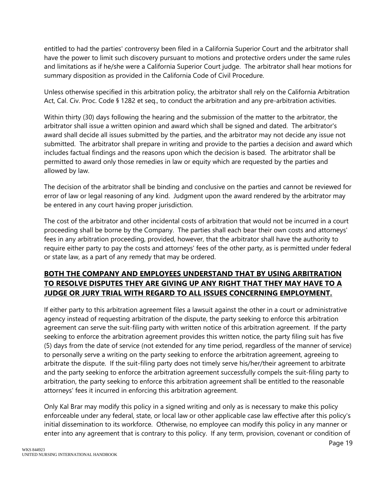entitled to had the parties' controversy been filed in a California Superior Court and the arbitrator shall have the power to limit such discovery pursuant to motions and protective orders under the same rules and limitations as if he/she were a California Superior Court judge. The arbitrator shall hear motions for summary disposition as provided in the California Code of Civil Procedure.

Unless otherwise specified in this arbitration policy, the arbitrator shall rely on the California Arbitration Act, Cal. Civ. Proc. Code § 1282 et seq., to conduct the arbitration and any pre-arbitration activities.

Within thirty (30) days following the hearing and the submission of the matter to the arbitrator, the arbitrator shall issue a written opinion and award which shall be signed and dated. The arbitrator's award shall decide all issues submitted by the parties, and the arbitrator may not decide any issue not submitted. The arbitrator shall prepare in writing and provide to the parties a decision and award which includes factual findings and the reasons upon which the decision is based. The arbitrator shall be permitted to award only those remedies in law or equity which are requested by the parties and allowed by law.

The decision of the arbitrator shall be binding and conclusive on the parties and cannot be reviewed for error of law or legal reasoning of any kind. Judgment upon the award rendered by the arbitrator may be entered in any court having proper jurisdiction.

The cost of the arbitrator and other incidental costs of arbitration that would not be incurred in a court proceeding shall be borne by the Company. The parties shall each bear their own costs and attorneys' fees in any arbitration proceeding, provided, however, that the arbitrator shall have the authority to require either party to pay the costs and attorneys' fees of the other party, as is permitted under federal or state law, as a part of any remedy that may be ordered.

#### **BOTH THE COMPANY AND EMPLOYEES UNDERSTAND THAT BY USING ARBITRATION TO RESOLVE DISPUTES THEY ARE GIVING UP ANY RIGHT THAT THEY MAY HAVE TO A JUDGE OR JURY TRIAL WITH REGARD TO ALL ISSUES CONCERNING EMPLOYMENT.**

If either party to this arbitration agreement files a lawsuit against the other in a court or administrative agency instead of requesting arbitration of the dispute, the party seeking to enforce this arbitration agreement can serve the suit-filing party with written notice of this arbitration agreement. If the party seeking to enforce the arbitration agreement provides this written notice, the party filing suit has five (5) days from the date of service (not extended for any time period, regardless of the manner of service) to personally serve a writing on the party seeking to enforce the arbitration agreement, agreeing to arbitrate the dispute. If the suit-filing party does not timely serve his/her/their agreement to arbitrate and the party seeking to enforce the arbitration agreement successfully compels the suit-filing party to arbitration, the party seeking to enforce this arbitration agreement shall be entitled to the reasonable attorneys' fees it incurred in enforcing this arbitration agreement.

Only Kal Brar may modify this policy in a signed writing and only as is necessary to make this policy enforceable under any federal, state, or local law or other applicable case law effective after this policy's initial dissemination to its workforce. Otherwise, no employee can modify this policy in any manner or enter into any agreement that is contrary to this policy. If any term, provision, covenant or condition of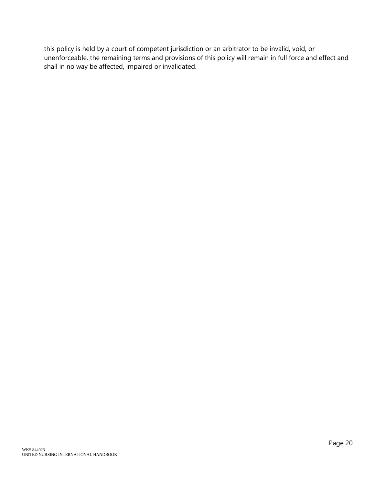this policy is held by a court of competent jurisdiction or an arbitrator to be invalid, void, or unenforceable, the remaining terms and provisions of this policy will remain in full force and effect and shall in no way be affected, impaired or invalidated.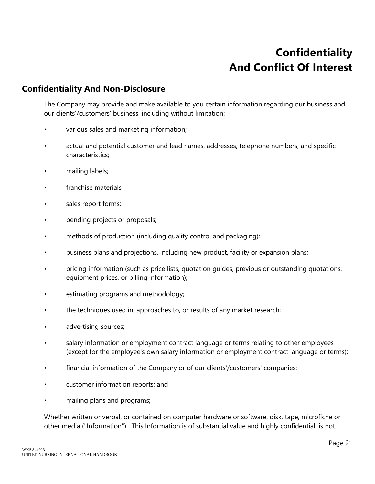#### **Confidentiality And Non-Disclosure**

The Company may provide and make available to you certain information regarding our business and our clients'/customers' business, including without limitation:

- various sales and marketing information;
- actual and potential customer and lead names, addresses, telephone numbers, and specific characteristics;
- mailing labels;
- franchise materials
- sales report forms;
- pending projects or proposals;
- methods of production (including quality control and packaging);
- business plans and projections, including new product, facility or expansion plans;
- pricing information (such as price lists, quotation guides, previous or outstanding quotations, equipment prices, or billing information);
- estimating programs and methodology;
- the techniques used in, approaches to, or results of any market research;
- advertising sources;
- salary information or employment contract language or terms relating to other employees (except for the employee's own salary information or employment contract language or terms);
- financial information of the Company or of our clients'/customers' companies;
- customer information reports; and
- mailing plans and programs;

Whether written or verbal, or contained on computer hardware or software, disk, tape, microfiche or other media ("Information"). This Information is of substantial value and highly confidential, is not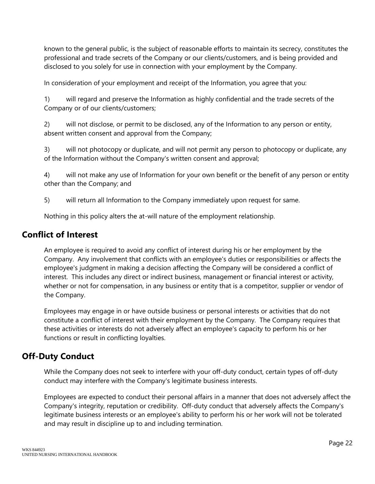known to the general public, is the subject of reasonable efforts to maintain its secrecy, constitutes the professional and trade secrets of the Company or our clients/customers, and is being provided and disclosed to you solely for use in connection with your employment by the Company.

In consideration of your employment and receipt of the Information, you agree that you:

1) will regard and preserve the Information as highly confidential and the trade secrets of the Company or of our clients/customers;

2) will not disclose, or permit to be disclosed, any of the Information to any person or entity, absent written consent and approval from the Company;

3) will not photocopy or duplicate, and will not permit any person to photocopy or duplicate, any of the Information without the Company's written consent and approval;

4) will not make any use of Information for your own benefit or the benefit of any person or entity other than the Company; and

5) will return all Information to the Company immediately upon request for same.

Nothing in this policy alters the at-will nature of the employment relationship.

# **Conflict of Interest**

An employee is required to avoid any conflict of interest during his or her employment by the Company. Any involvement that conflicts with an employee's duties or responsibilities or affects the employee's judgment in making a decision affecting the Company will be considered a conflict of interest. This includes any direct or indirect business, management or financial interest or activity, whether or not for compensation, in any business or entity that is a competitor, supplier or vendor of the Company.

Employees may engage in or have outside business or personal interests or activities that do not constitute a conflict of interest with their employment by the Company. The Company requires that these activities or interests do not adversely affect an employee's capacity to perform his or her functions or result in conflicting loyalties.

# **Off-Duty Conduct**

While the Company does not seek to interfere with your off-duty conduct, certain types of off-duty conduct may interfere with the Company's legitimate business interests.

Employees are expected to conduct their personal affairs in a manner that does not adversely affect the Company's integrity, reputation or credibility. Off-duty conduct that adversely affects the Company's legitimate business interests or an employee's ability to perform his or her work will not be tolerated and may result in discipline up to and including termination.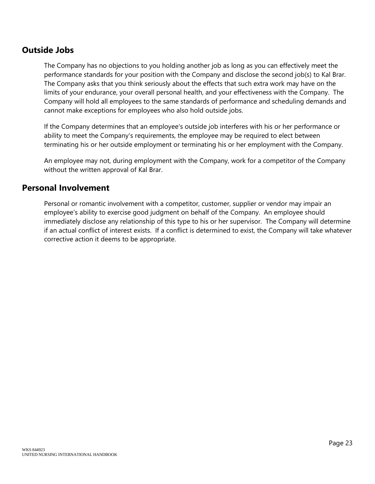# **Outside Jobs**

The Company has no objections to you holding another job as long as you can effectively meet the performance standards for your position with the Company and disclose the second job(s) to Kal Brar. The Company asks that you think seriously about the effects that such extra work may have on the limits of your endurance, your overall personal health, and your effectiveness with the Company. The Company will hold all employees to the same standards of performance and scheduling demands and cannot make exceptions for employees who also hold outside jobs.

If the Company determines that an employee's outside job interferes with his or her performance or ability to meet the Company's requirements, the employee may be required to elect between terminating his or her outside employment or terminating his or her employment with the Company.

An employee may not, during employment with the Company, work for a competitor of the Company without the written approval of Kal Brar.

#### **Personal Involvement**

Personal or romantic involvement with a competitor, customer, supplier or vendor may impair an employee's ability to exercise good judgment on behalf of the Company. An employee should immediately disclose any relationship of this type to his or her supervisor. The Company will determine if an actual conflict of interest exists. If a conflict is determined to exist, the Company will take whatever corrective action it deems to be appropriate.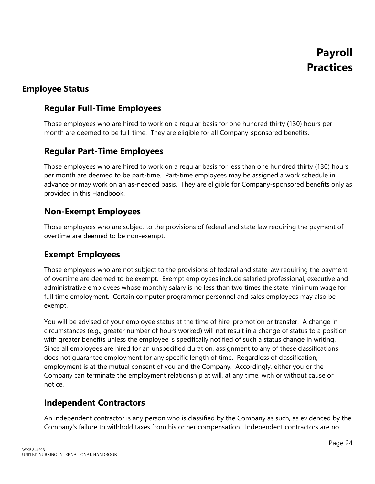# **Employee Status**

# **Regular Full-Time Employees**

Those employees who are hired to work on a regular basis for one hundred thirty (130) hours per month are deemed to be full-time. They are eligible for all Company-sponsored benefits.

# **Regular Part-Time Employees**

Those employees who are hired to work on a regular basis for less than one hundred thirty (130) hours per month are deemed to be part-time. Part-time employees may be assigned a work schedule in advance or may work on an as-needed basis. They are eligible for Company-sponsored benefits only as provided in this Handbook.

# **Non-Exempt Employees**

Those employees who are subject to the provisions of federal and state law requiring the payment of overtime are deemed to be non-exempt.

# **Exempt Employees**

Those employees who are not subject to the provisions of federal and state law requiring the payment of overtime are deemed to be exempt. Exempt employees include salaried professional, executive and administrative employees whose monthly salary is no less than two times the state minimum wage for full time employment. Certain computer programmer personnel and sales employees may also be exempt.

You will be advised of your employee status at the time of hire, promotion or transfer. A change in circumstances (e.g., greater number of hours worked) will not result in a change of status to a position with greater benefits unless the employee is specifically notified of such a status change in writing. Since all employees are hired for an unspecified duration, assignment to any of these classifications does not guarantee employment for any specific length of time. Regardless of classification, employment is at the mutual consent of you and the Company. Accordingly, either you or the Company can terminate the employment relationship at will, at any time, with or without cause or notice.

# **Independent Contractors**

An independent contractor is any person who is classified by the Company as such, as evidenced by the Company's failure to withhold taxes from his or her compensation. Independent contractors are not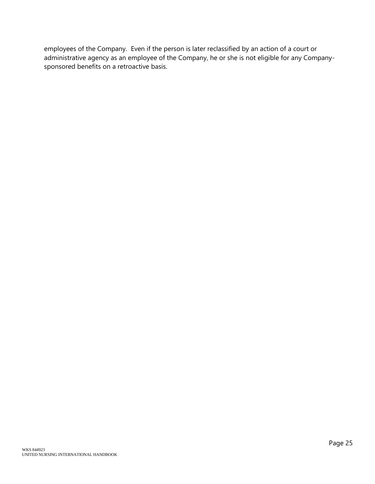employees of the Company. Even if the person is later reclassified by an action of a court or administrative agency as an employee of the Company, he or she is not eligible for any Companysponsored benefits on a retroactive basis.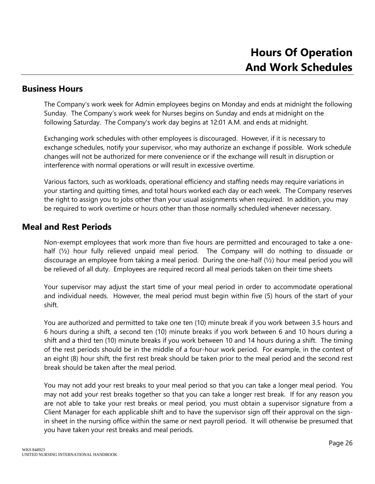#### **Business Hours**

The Company's work week for Admin employees begins on Monday and ends at midnight the following Sunday. The Company's work week for Nurses begins on Sunday and ends at midnight on the following Saturday. The Company's work day begins at 12:01 A.M. and ends at midnight.

Exchanging work schedules with other employees is discouraged. However, if it is necessary to exchange schedules, notify your supervisor, who may authorize an exchange if possible. Work schedule changes will not be authorized for mere convenience or if the exchange will result in disruption or interference with normal operations or will result in excessive overtime.

Various factors, such as workloads, operational efficiency and staffing needs may require variations in your starting and quitting times, and total hours worked each day or each week. The Company reserves the right to assign you to jobs other than your usual assignments when required. In addition, you may be required to work overtime or hours other than those normally scheduled whenever necessary.

#### **Meal and Rest Periods**

Non-exempt employees that work more than five hours are permitted and encouraged to take a onehalf (1/2) hour fully relieved unpaid meal period. The Company will do nothing to dissuade or discourage an employee from taking a meal period. During the one-half (½) hour meal period you will be relieved of all duty. Employees are required record all meal periods taken on their time sheets

Your supervisor may adjust the start time of your meal period in order to accommodate operational and individual needs. However, the meal period must begin within five (5) hours of the start of your shift.

You are authorized and permitted to take one ten (10) minute break if you work between 3.5 hours and 6 hours during a shift, a second ten (10) minute breaks if you work between 6 and 10 hours during a shift and a third ten (10) minute breaks if you work between 10 and 14 hours during a shift. The timing of the rest periods should be in the middle of a four-hour work period. For example, in the context of an eight (8) hour shift, the first rest break should be taken prior to the meal period and the second rest break should be taken after the meal period.

You may not add your rest breaks to your meal period so that you can take a longer meal period. You may not add your rest breaks together so that you can take a longer rest break. If for any reason you are not able to take your rest breaks or meal period, you must obtain a supervisor signature from a Client Manager for each applicable shift and to have the supervisor sign off their approval on the signin sheet in the nursing office within the same or next payroll period. It will otherwise be presumed that you have taken your rest breaks and meal periods.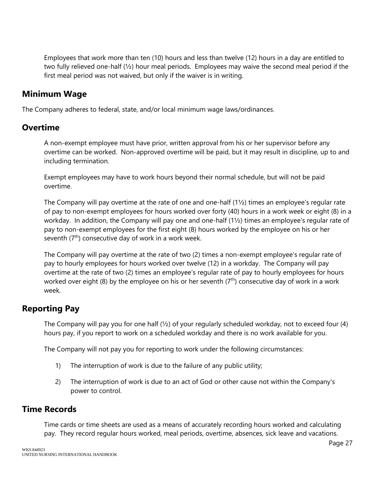Employees that work more than ten (10) hours and less than twelve (12) hours in a day are entitled to two fully relieved one-half (½) hour meal periods. Employees may waive the second meal period if the first meal period was not waived, but only if the waiver is in writing.

#### **Minimum Wage**

The Company adheres to federal, state, and/or local minimum wage laws/ordinances.

#### **Overtime**

A non-exempt employee must have prior, written approval from his or her supervisor before any overtime can be worked. Non-approved overtime will be paid, but it may result in discipline, up to and including termination.

Exempt employees may have to work hours beyond their normal schedule, but will not be paid overtime.

The Company will pay overtime at the rate of one and one-half (1½) times an employee's regular rate of pay to non-exempt employees for hours worked over forty (40) hours in a work week or eight (8) in a workday. In addition, the Company will pay one and one-half (1½) times an employee's regular rate of pay to non-exempt employees for the first eight (8) hours worked by the employee on his or her seventh  $(7<sup>th</sup>)$  consecutive day of work in a work week.

The Company will pay overtime at the rate of two (2) times a non-exempt employee's regular rate of pay to hourly employees for hours worked over twelve (12) in a workday. The Company will pay overtime at the rate of two (2) times an employee's regular rate of pay to hourly employees for hours worked over eight (8) by the employee on his or her seventh  $(7<sup>th</sup>)$  consecutive day of work in a work week.

# **Reporting Pay**

The Company will pay you for one half (½) of your regularly scheduled workday, not to exceed four (4) hours pay, if you report to work on a scheduled workday and there is no work available for you.

The Company will not pay you for reporting to work under the following circumstances:

- 1) The interruption of work is due to the failure of any public utility;
- 2) The interruption of work is due to an act of God or other cause not within the Company's power to control.

# **Time Records**

Time cards or time sheets are used as a means of accurately recording hours worked and calculating pay. They record regular hours worked, meal periods, overtime, absences, sick leave and vacations.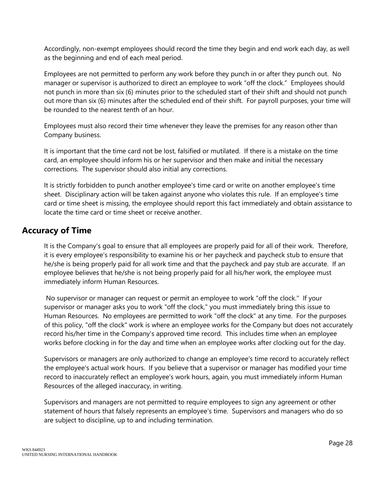Accordingly, non-exempt employees should record the time they begin and end work each day, as well as the beginning and end of each meal period.

Employees are not permitted to perform any work before they punch in or after they punch out. No manager or supervisor is authorized to direct an employee to work "off the clock." Employees should not punch in more than six (6) minutes prior to the scheduled start of their shift and should not punch out more than six (6) minutes after the scheduled end of their shift. For payroll purposes, your time will be rounded to the nearest tenth of an hour.

Employees must also record their time whenever they leave the premises for any reason other than Company business.

It is important that the time card not be lost, falsified or mutilated. If there is a mistake on the time card, an employee should inform his or her supervisor and then make and initial the necessary corrections. The supervisor should also initial any corrections.

It is strictly forbidden to punch another employee's time card or write on another employee's time sheet. Disciplinary action will be taken against anyone who violates this rule. If an employee's time card or time sheet is missing, the employee should report this fact immediately and obtain assistance to locate the time card or time sheet or receive another.

# **Accuracy of Time**

It is the Company's goal to ensure that all employees are properly paid for all of their work. Therefore, it is every employee's responsibility to examine his or her paycheck and paycheck stub to ensure that he/she is being properly paid for all work time and that the paycheck and pay stub are accurate. If an employee believes that he/she is not being properly paid for all his/her work, the employee must immediately inform Human Resources.

No supervisor or manager can request or permit an employee to work "off the clock." If your supervisor or manager asks you to work "off the clock," you must immediately bring this issue to Human Resources. No employees are permitted to work "off the clock" at any time. For the purposes of this policy, "off the clock" work is where an employee works for the Company but does not accurately record his/her time in the Company's approved time record. This includes time when an employee works before clocking in for the day and time when an employee works after clocking out for the day.

Supervisors or managers are only authorized to change an employee's time record to accurately reflect the employee's actual work hours. If you believe that a supervisor or manager has modified your time record to inaccurately reflect an employee's work hours, again, you must immediately inform Human Resources of the alleged inaccuracy, in writing.

Supervisors and managers are not permitted to require employees to sign any agreement or other statement of hours that falsely represents an employee's time. Supervisors and managers who do so are subject to discipline, up to and including termination.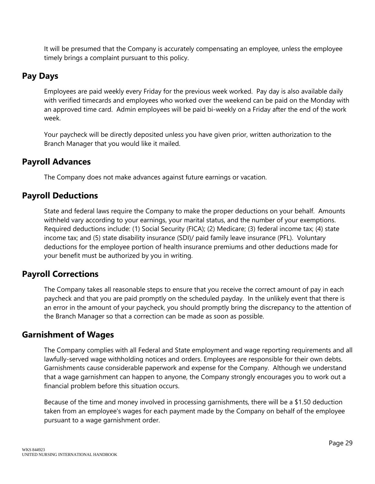It will be presumed that the Company is accurately compensating an employee, unless the employee timely brings a complaint pursuant to this policy.

#### **Pay Days**

Employees are paid weekly every Friday for the previous week worked. Pay day is also available daily with verified timecards and employees who worked over the weekend can be paid on the Monday with an approved time card. Admin employees will be paid bi-weekly on a Friday after the end of the work week.

Your paycheck will be directly deposited unless you have given prior, written authorization to the Branch Manager that you would like it mailed.

#### **Payroll Advances**

The Company does not make advances against future earnings or vacation.

#### **Payroll Deductions**

State and federal laws require the Company to make the proper deductions on your behalf. Amounts withheld vary according to your earnings, your marital status, and the number of your exemptions. Required deductions include: (1) Social Security (FICA); (2) Medicare; (3) federal income tax; (4) state income tax; and (5) state disability insurance (SDI)/ paid family leave insurance (PFL). Voluntary deductions for the employee portion of health insurance premiums and other deductions made for your benefit must be authorized by you in writing.

# **Payroll Corrections**

The Company takes all reasonable steps to ensure that you receive the correct amount of pay in each paycheck and that you are paid promptly on the scheduled payday. In the unlikely event that there is an error in the amount of your paycheck, you should promptly bring the discrepancy to the attention of the Branch Manager so that a correction can be made as soon as possible.

#### **Garnishment of Wages**

The Company complies with all Federal and State employment and wage reporting requirements and all lawfully-served wage withholding notices and orders. Employees are responsible for their own debts. Garnishments cause considerable paperwork and expense for the Company. Although we understand that a wage garnishment can happen to anyone, the Company strongly encourages you to work out a financial problem before this situation occurs.

Because of the time and money involved in processing garnishments, there will be a \$1.50 deduction taken from an employee's wages for each payment made by the Company on behalf of the employee pursuant to a wage garnishment order.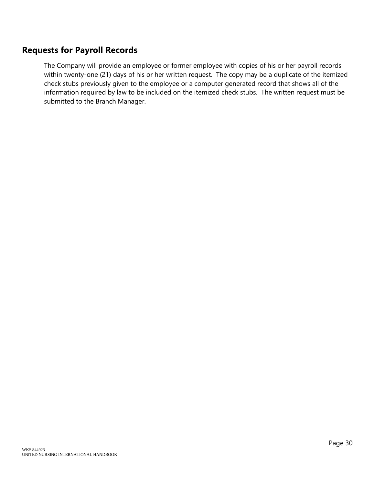# **Requests for Payroll Records**

The Company will provide an employee or former employee with copies of his or her payroll records within twenty-one (21) days of his or her written request. The copy may be a duplicate of the itemized check stubs previously given to the employee or a computer generated record that shows all of the information required by law to be included on the itemized check stubs. The written request must be submitted to the Branch Manager.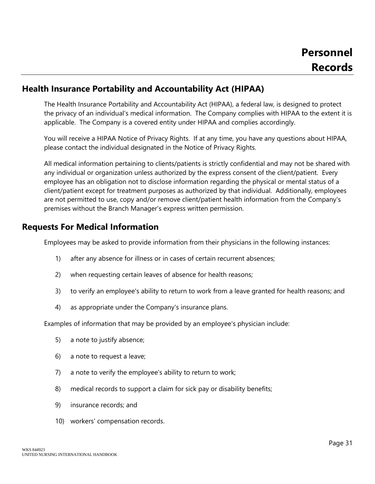### **Health Insurance Portability and Accountability Act (HIPAA)**

The Health Insurance Portability and Accountability Act (HIPAA), a federal law, is designed to protect the privacy of an individual's medical information. The Company complies with HIPAA to the extent it is applicable. The Company is a covered entity under HIPAA and complies accordingly.

You will receive a HIPAA Notice of Privacy Rights. If at any time, you have any questions about HIPAA, please contact the individual designated in the Notice of Privacy Rights.

All medical information pertaining to clients/patients is strictly confidential and may not be shared with any individual or organization unless authorized by the express consent of the client/patient. Every employee has an obligation not to disclose information regarding the physical or mental status of a client/patient except for treatment purposes as authorized by that individual. Additionally, employees are not permitted to use, copy and/or remove client/patient health information from the Company's premises without the Branch Manager's express written permission.

### **Requests For Medical Information**

Employees may be asked to provide information from their physicians in the following instances:

- 1) after any absence for illness or in cases of certain recurrent absences;
- 2) when requesting certain leaves of absence for health reasons;
- 3) to verify an employee's ability to return to work from a leave granted for health reasons; and
- 4) as appropriate under the Company's insurance plans.

Examples of information that may be provided by an employee's physician include:

- 5) a note to justify absence;
- 6) a note to request a leave;
- 7) a note to verify the employee's ability to return to work;
- 8) medical records to support a claim for sick pay or disability benefits;
- 9) insurance records; and
- 10) workers' compensation records.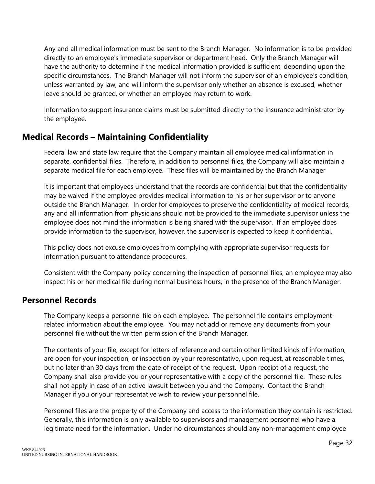Any and all medical information must be sent to the Branch Manager. No information is to be provided directly to an employee's immediate supervisor or department head. Only the Branch Manager will have the authority to determine if the medical information provided is sufficient, depending upon the specific circumstances. The Branch Manager will not inform the supervisor of an employee's condition, unless warranted by law, and will inform the supervisor only whether an absence is excused, whether leave should be granted, or whether an employee may return to work.

Information to support insurance claims must be submitted directly to the insurance administrator by the employee.

# **Medical Records – Maintaining Confidentiality**

Federal law and state law require that the Company maintain all employee medical information in separate, confidential files. Therefore, in addition to personnel files, the Company will also maintain a separate medical file for each employee. These files will be maintained by the Branch Manager

It is important that employees understand that the records are confidential but that the confidentiality may be waived if the employee provides medical information to his or her supervisor or to anyone outside the Branch Manager. In order for employees to preserve the confidentiality of medical records, any and all information from physicians should not be provided to the immediate supervisor unless the employee does not mind the information is being shared with the supervisor. If an employee does provide information to the supervisor, however, the supervisor is expected to keep it confidential.

This policy does not excuse employees from complying with appropriate supervisor requests for information pursuant to attendance procedures.

Consistent with the Company policy concerning the inspection of personnel files, an employee may also inspect his or her medical file during normal business hours, in the presence of the Branch Manager.

#### **Personnel Records**

The Company keeps a personnel file on each employee. The personnel file contains employmentrelated information about the employee. You may not add or remove any documents from your personnel file without the written permission of the Branch Manager.

The contents of your file, except for letters of reference and certain other limited kinds of information, are open for your inspection, or inspection by your representative, upon request, at reasonable times, but no later than 30 days from the date of receipt of the request. Upon receipt of a request, the Company shall also provide you or your representative with a copy of the personnel file. These rules shall not apply in case of an active lawsuit between you and the Company. Contact the Branch Manager if you or your representative wish to review your personnel file.

Personnel files are the property of the Company and access to the information they contain is restricted. Generally, this information is only available to supervisors and management personnel who have a legitimate need for the information. Under no circumstances should any non-management employee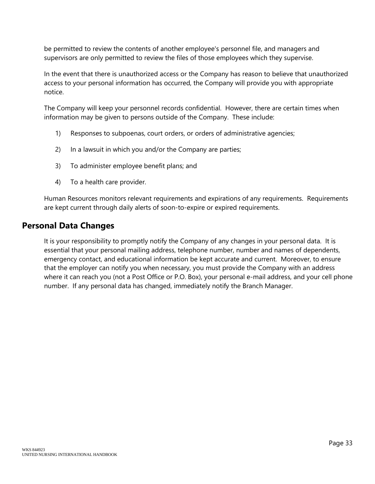be permitted to review the contents of another employee's personnel file, and managers and supervisors are only permitted to review the files of those employees which they supervise.

In the event that there is unauthorized access or the Company has reason to believe that unauthorized access to your personal information has occurred, the Company will provide you with appropriate notice.

The Company will keep your personnel records confidential. However, there are certain times when information may be given to persons outside of the Company. These include:

- 1) Responses to subpoenas, court orders, or orders of administrative agencies;
- 2) In a lawsuit in which you and/or the Company are parties;
- 3) To administer employee benefit plans; and
- 4) To a health care provider.

Human Resources monitors relevant requirements and expirations of any requirements. Requirements are kept current through daily alerts of soon-to-expire or expired requirements.

#### **Personal Data Changes**

It is your responsibility to promptly notify the Company of any changes in your personal data. It is essential that your personal mailing address, telephone number, number and names of dependents, emergency contact, and educational information be kept accurate and current. Moreover, to ensure that the employer can notify you when necessary, you must provide the Company with an address where it can reach you (not a Post Office or P.O. Box), your personal e-mail address, and your cell phone number. If any personal data has changed, immediately notify the Branch Manager.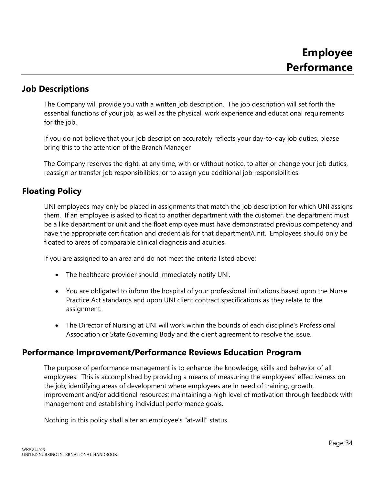### **Job Descriptions**

The Company will provide you with a written job description. The job description will set forth the essential functions of your job, as well as the physical, work experience and educational requirements for the job.

If you do not believe that your job description accurately reflects your day-to-day job duties, please bring this to the attention of the Branch Manager

The Company reserves the right, at any time, with or without notice, to alter or change your job duties, reassign or transfer job responsibilities, or to assign you additional job responsibilities.

## **Floating Policy**

UNI employees may only be placed in assignments that match the job description for which UNI assigns them. If an employee is asked to float to another department with the customer, the department must be a like department or unit and the float employee must have demonstrated previous competency and have the appropriate certification and credentials for that department/unit. Employees should only be floated to areas of comparable clinical diagnosis and acuities.

If you are assigned to an area and do not meet the criteria listed above:

- The healthcare provider should immediately notify UNI.
- You are obligated to inform the hospital of your professional limitations based upon the Nurse Practice Act standards and upon UNI client contract specifications as they relate to the assignment.
- The Director of Nursing at UNI will work within the bounds of each discipline's Professional Association or State Governing Body and the client agreement to resolve the issue.

## **Performance Improvement/Performance Reviews Education Program**

The purpose of performance management is to enhance the knowledge, skills and behavior of all employees. This is accomplished by providing a means of measuring the employees' effectiveness on the job; identifying areas of development where employees are in need of training, growth, improvement and/or additional resources; maintaining a high level of motivation through feedback with management and establishing individual performance goals.

Nothing in this policy shall alter an employee's "at-will" status.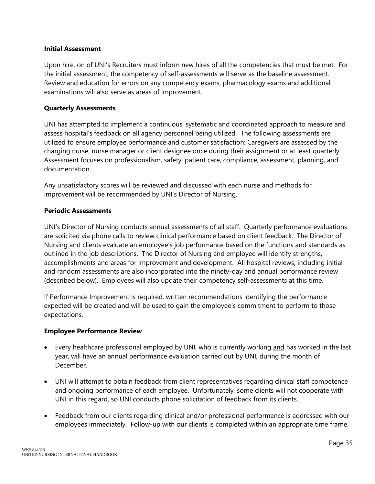#### **Initial Assessment**

Upon hire, on of UNI's Recruiters must inform new hires of all the competencies that must be met. For the initial assessment, the competency of self-assessments will serve as the baseline assessment. Review and education for errors on any competency exams, pharmacology exams and additional examinations will also serve as areas of improvement.

#### **Quarterly Assessments**

UNI has attempted to implement a continuous, systematic and coordinated approach to measure and assess hospital's feedback on all agency personnel being utilized. The following assessments are utilized to ensure employee performance and customer satisfaction: Caregivers are assessed by the charging nurse, nurse manager or client designee once during their assignment or at least quarterly. Assessment focuses on professionalism, safety, patient care, compliance, assessment, planning, and documentation.

Any unsatisfactory scores will be reviewed and discussed with each nurse and methods for improvement will be recommended by UNI's Director of Nursing.

#### **Periodic Assessments**

UNI's Director of Nursing conducts annual assessments of all staff. Quarterly performance evaluations are solicited via phone calls to review clinical performance based on client feedback. The Director of Nursing and clients evaluate an employee's job performance based on the functions and standards as outlined in the job descriptions. The Director of Nursing and employee will identify strengths, accomplishments and areas for improvement and development. All hospital reviews, including initial and random assessments are also incorporated into the ninety-day and annual performance review (described below). Employees will also update their competency self-assessments at this time.

If Performance Improvement is required, written recommendations identifying the performance expected will be created and will be used to gain the employee's commitment to perform to those expectations.

#### **Employee Performance Review**

- Every healthcare professional employed by UNI, who is currently working and has worked in the last year, will have an annual performance evaluation carried out by UNI, during the month of December.
- UNI will attempt to obtain feedback from client representatives regarding clinical staff competence and ongoing performance of each employee. Unfortunately, some clients will not cooperate with UNI in this regard, so UNI conducts phone solicitation of feedback from its clients.
- Feedback from our clients regarding clinical and/or professional performance is addressed with our employees immediately. Follow-up with our clients is completed within an appropriate time frame.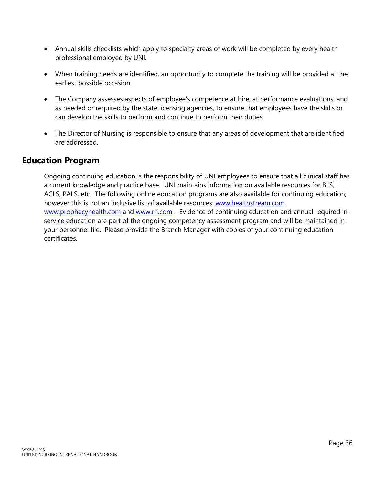- Annual skills checklists which apply to specialty areas of work will be completed by every health professional employed by UNI.
- When training needs are identified, an opportunity to complete the training will be provided at the earliest possible occasion.
- The Company assesses aspects of employee's competence at hire, at performance evaluations, and as needed or required by the state licensing agencies, to ensure that employees have the skills or can develop the skills to perform and continue to perform their duties.
- The Director of Nursing is responsible to ensure that any areas of development that are identified are addressed.

## **Education Program**

Ongoing continuing education is the responsibility of UNI employees to ensure that all clinical staff has a current knowledge and practice base. UNI maintains information on available resources for BLS, ACLS, PALS, etc. The following online education programs are also available for continuing education; however this is not an inclusive list of available resources: [www.healthstream.com,](http://www.healthstream.com/) [www.prophecyhealth.com](http://www.prophecyhealth.com/) and [www.rn.com](http://www.rn.com/) . Evidence of continuing education and annual required inservice education are part of the ongoing competency assessment program and will be maintained in your personnel file. Please provide the Branch Manager with copies of your continuing education certificates.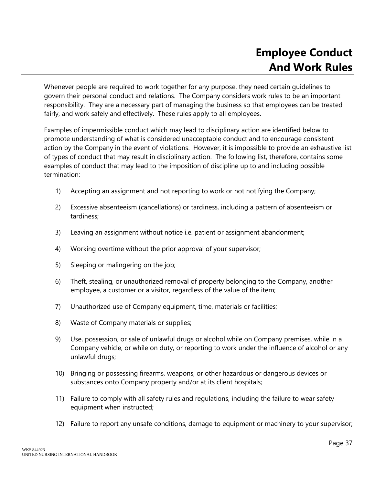Whenever people are required to work together for any purpose, they need certain guidelines to govern their personal conduct and relations. The Company considers work rules to be an important responsibility. They are a necessary part of managing the business so that employees can be treated fairly, and work safely and effectively. These rules apply to all employees.

Examples of impermissible conduct which may lead to disciplinary action are identified below to promote understanding of what is considered unacceptable conduct and to encourage consistent action by the Company in the event of violations. However, it is impossible to provide an exhaustive list of types of conduct that may result in disciplinary action. The following list, therefore, contains some examples of conduct that may lead to the imposition of discipline up to and including possible termination:

- 1) Accepting an assignment and not reporting to work or not notifying the Company;
- 2) Excessive absenteeism (cancellations) or tardiness, including a pattern of absenteeism or tardiness;
- 3) Leaving an assignment without notice i.e. patient or assignment abandonment;
- 4) Working overtime without the prior approval of your supervisor;
- 5) Sleeping or malingering on the job;
- 6) Theft, stealing, or unauthorized removal of property belonging to the Company, another employee, a customer or a visitor, regardless of the value of the item;
- 7) Unauthorized use of Company equipment, time, materials or facilities;
- 8) Waste of Company materials or supplies;
- 9) Use, possession, or sale of unlawful drugs or alcohol while on Company premises, while in a Company vehicle, or while on duty, or reporting to work under the influence of alcohol or any unlawful drugs;
- 10) Bringing or possessing firearms, weapons, or other hazardous or dangerous devices or substances onto Company property and/or at its client hospitals;
- 11) Failure to comply with all safety rules and regulations, including the failure to wear safety equipment when instructed;
- 12) Failure to report any unsafe conditions, damage to equipment or machinery to your supervisor;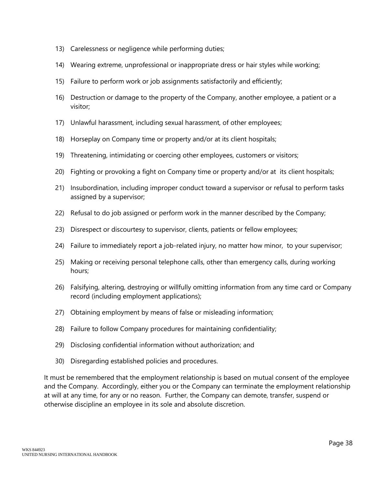- 13) Carelessness or negligence while performing duties;
- 14) Wearing extreme, unprofessional or inappropriate dress or hair styles while working;
- 15) Failure to perform work or job assignments satisfactorily and efficiently;
- 16) Destruction or damage to the property of the Company, another employee, a patient or a visitor;
- 17) Unlawful harassment, including sexual harassment, of other employees;
- 18) Horseplay on Company time or property and/or at its client hospitals;
- 19) Threatening, intimidating or coercing other employees, customers or visitors;
- 20) Fighting or provoking a fight on Company time or property and/or at its client hospitals;
- 21) Insubordination, including improper conduct toward a supervisor or refusal to perform tasks assigned by a supervisor;
- 22) Refusal to do job assigned or perform work in the manner described by the Company;
- 23) Disrespect or discourtesy to supervisor, clients, patients or fellow employees;
- 24) Failure to immediately report a job-related injury, no matter how minor, to your supervisor;
- 25) Making or receiving personal telephone calls, other than emergency calls, during working hours;
- 26) Falsifying, altering, destroying or willfully omitting information from any time card or Company record (including employment applications);
- 27) Obtaining employment by means of false or misleading information;
- 28) Failure to follow Company procedures for maintaining confidentiality;
- 29) Disclosing confidential information without authorization; and
- 30) Disregarding established policies and procedures.

It must be remembered that the employment relationship is based on mutual consent of the employee and the Company. Accordingly, either you or the Company can terminate the employment relationship at will at any time, for any or no reason. Further, the Company can demote, transfer, suspend or otherwise discipline an employee in its sole and absolute discretion.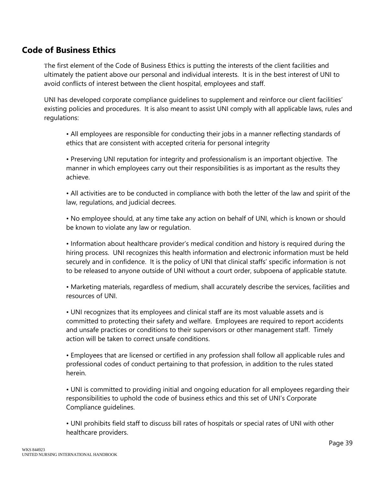## **Code of Business Ethics**

The first element of the Code of Business Ethics is putting the interests of the client facilities and ultimately the patient above our personal and individual interests. It is in the best interest of UNI to avoid conflicts of interest between the client hospital, employees and staff.

UNI has developed corporate compliance guidelines to supplement and reinforce our client facilities' existing policies and procedures. It is also meant to assist UNI comply with all applicable laws, rules and regulations:

• All employees are responsible for conducting their jobs in a manner reflecting standards of ethics that are consistent with accepted criteria for personal integrity

• Preserving UNI reputation for integrity and professionalism is an important objective. The manner in which employees carry out their responsibilities is as important as the results they achieve.

• All activities are to be conducted in compliance with both the letter of the law and spirit of the law, regulations, and judicial decrees.

• No employee should, at any time take any action on behalf of UNI, which is known or should be known to violate any law or regulation.

• Information about healthcare provider's medical condition and history is required during the hiring process. UNI recognizes this health information and electronic information must be held securely and in confidence. It is the policy of UNI that clinical staffs' specific information is not to be released to anyone outside of UNI without a court order, subpoena of applicable statute.

• Marketing materials, regardless of medium, shall accurately describe the services, facilities and resources of UNI.

• UNI recognizes that its employees and clinical staff are its most valuable assets and is committed to protecting their safety and welfare. Employees are required to report accidents and unsafe practices or conditions to their supervisors or other management staff. Timely action will be taken to correct unsafe conditions.

• Employees that are licensed or certified in any profession shall follow all applicable rules and professional codes of conduct pertaining to that profession, in addition to the rules stated herein.

• UNI is committed to providing initial and ongoing education for all employees regarding their responsibilities to uphold the code of business ethics and this set of UNI's Corporate Compliance guidelines.

• UNI prohibits field staff to discuss bill rates of hospitals or special rates of UNI with other healthcare providers.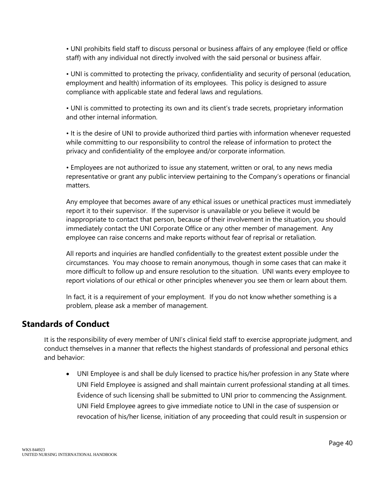• UNI prohibits field staff to discuss personal or business affairs of any employee (field or office staff) with any individual not directly involved with the said personal or business affair.

• UNI is committed to protecting the privacy, confidentiality and security of personal (education, employment and health) information of its employees. This policy is designed to assure compliance with applicable state and federal laws and regulations.

• UNI is committed to protecting its own and its client's trade secrets, proprietary information and other internal information.

• It is the desire of UNI to provide authorized third parties with information whenever requested while committing to our responsibility to control the release of information to protect the privacy and confidentiality of the employee and/or corporate information.

• Employees are not authorized to issue any statement, written or oral, to any news media representative or grant any public interview pertaining to the Company's operations or financial matters.

Any employee that becomes aware of any ethical issues or unethical practices must immediately report it to their supervisor. If the supervisor is unavailable or you believe it would be inappropriate to contact that person, because of their involvement in the situation, you should immediately contact the UNI Corporate Office or any other member of management. Any employee can raise concerns and make reports without fear of reprisal or retaliation.

All reports and inquiries are handled confidentially to the greatest extent possible under the circumstances. You may choose to remain anonymous, though in some cases that can make it more difficult to follow up and ensure resolution to the situation. UNI wants every employee to report violations of our ethical or other principles whenever you see them or learn about them.

In fact, it is a requirement of your employment. If you do not know whether something is a problem, please ask a member of management.

## **Standards of Conduct**

It is the responsibility of every member of UNI's clinical field staff to exercise appropriate judgment, and conduct themselves in a manner that reflects the highest standards of professional and personal ethics and behavior:

 UNI Employee is and shall be duly licensed to practice his/her profession in any State where UNI Field Employee is assigned and shall maintain current professional standing at all times. Evidence of such licensing shall be submitted to UNI prior to commencing the Assignment. UNI Field Employee agrees to give immediate notice to UNI in the case of suspension or revocation of his/her license, initiation of any proceeding that could result in suspension or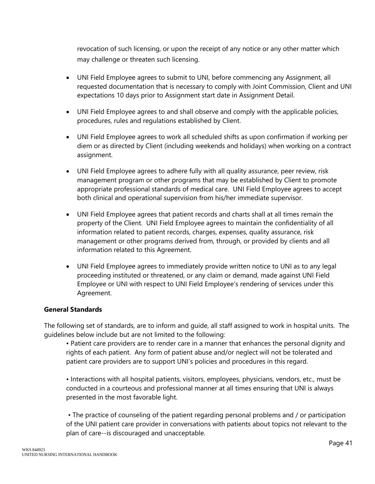revocation of such licensing, or upon the receipt of any notice or any other matter which may challenge or threaten such licensing.

- UNI Field Employee agrees to submit to UNI, before commencing any Assignment, all requested documentation that is necessary to comply with Joint Commission, Client and UNI expectations 10 days prior to Assignment start date in Assignment Detail.
- UNI Field Employee agrees to and shall observe and comply with the applicable policies, procedures, rules and regulations established by Client.
- UNI Field Employee agrees to work all scheduled shifts as upon confirmation if working per diem or as directed by Client (including weekends and holidays) when working on a contract assignment.
- UNI Field Employee agrees to adhere fully with all quality assurance, peer review, risk management program or other programs that may be established by Client to promote appropriate professional standards of medical care. UNI Field Employee agrees to accept both clinical and operational supervision from his/her immediate supervisor.
- UNI Field Employee agrees that patient records and charts shall at all times remain the property of the Client. UNI Field Employee agrees to maintain the confidentiality of all information related to patient records, charges, expenses, quality assurance, risk management or other programs derived from, through, or provided by clients and all information related to this Agreement.
- UNI Field Employee agrees to immediately provide written notice to UNI as to any legal proceeding instituted or threatened, or any claim or demand, made against UNI Field Employee or UNI with respect to UNI Field Employee's rendering of services under this Agreement.

#### **General Standards**

The following set of standards, are to inform and guide, all staff assigned to work in hospital units. The guidelines below include but are not limited to the following:

• Patient care providers are to render care in a manner that enhances the personal dignity and rights of each patient. Any form of patient abuse and/or neglect will not be tolerated and patient care providers are to support UNI's policies and procedures in this regard.

• Interactions with all hospital patients, visitors, employees, physicians, vendors, etc., must be conducted in a courteous and professional manner at all times ensuring that UNI is always presented in the most favorable light.

• The practice of counseling of the patient regarding personal problems and / or participation of the UNI patient care provider in conversations with patients about topics not relevant to the plan of care--is discouraged and unacceptable.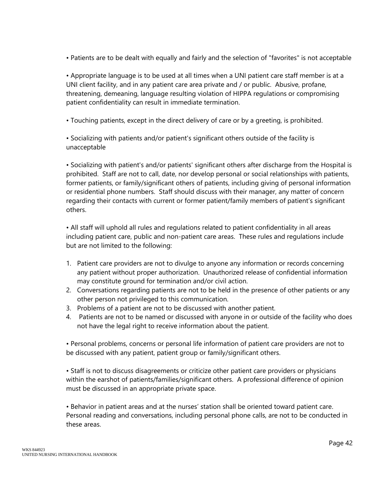• Patients are to be dealt with equally and fairly and the selection of "favorites" is not acceptable

• Appropriate language is to be used at all times when a UNI patient care staff member is at a UNI client facility, and in any patient care area private and / or public. Abusive, profane, threatening, demeaning, language resulting violation of HIPPA regulations or compromising patient confidentiality can result in immediate termination.

• Touching patients, except in the direct delivery of care or by a greeting, is prohibited.

• Socializing with patients and/or patient's significant others outside of the facility is unacceptable

• Socializing with patient's and/or patients' significant others after discharge from the Hospital is prohibited. Staff are not to call, date, nor develop personal or social relationships with patients, former patients, or family/significant others of patients, including giving of personal information or residential phone numbers. Staff should discuss with their manager, any matter of concern regarding their contacts with current or former patient/family members of patient's significant others.

• All staff will uphold all rules and regulations related to patient confidentiality in all areas including patient care, public and non-patient care areas. These rules and regulations include but are not limited to the following:

- 1. Patient care providers are not to divulge to anyone any information or records concerning any patient without proper authorization. Unauthorized release of confidential information may constitute ground for termination and/or civil action.
- 2. Conversations regarding patients are not to be held in the presence of other patients or any other person not privileged to this communication.
- 3. Problems of a patient are not to be discussed with another patient.
- 4. Patients are not to be named or discussed with anyone in or outside of the facility who does not have the legal right to receive information about the patient.

• Personal problems, concerns or personal life information of patient care providers are not to be discussed with any patient, patient group or family/significant others.

• Staff is not to discuss disagreements or criticize other patient care providers or physicians within the earshot of patients/families/significant others. A professional difference of opinion must be discussed in an appropriate private space.

• Behavior in patient areas and at the nurses' station shall be oriented toward patient care. Personal reading and conversations, including personal phone calls, are not to be conducted in these areas.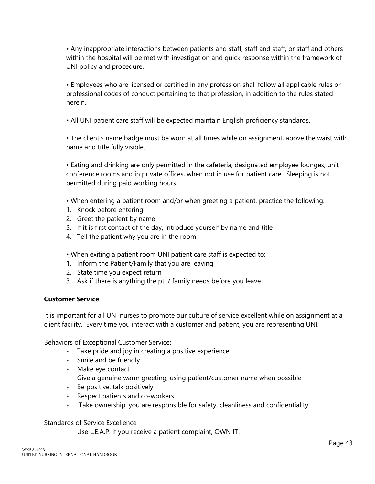• Any inappropriate interactions between patients and staff, staff and staff, or staff and others within the hospital will be met with investigation and quick response within the framework of UNI policy and procedure.

• Employees who are licensed or certified in any profession shall follow all applicable rules or professional codes of conduct pertaining to that profession, in addition to the rules stated herein.

• All UNI patient care staff will be expected maintain English proficiency standards.

• The client's name badge must be worn at all times while on assignment, above the waist with name and title fully visible.

• Eating and drinking are only permitted in the cafeteria, designated employee lounges, unit conference rooms and in private offices, when not in use for patient care. Sleeping is not permitted during paid working hours.

• When entering a patient room and/or when greeting a patient, practice the following.

- 1. Knock before entering
- 2. Greet the patient by name
- 3. If it is first contact of the day, introduce yourself by name and title
- 4. Tell the patient why you are in the room.

• When exiting a patient room UNI patient care staff is expected to:

- 1. Inform the Patient/Family that you are leaving
- 2. State time you expect return
- 3. Ask if there is anything the pt. / family needs before you leave

#### **Customer Service**

It is important for all UNI nurses to promote our culture of service excellent while on assignment at a client facility. Every time you interact with a customer and patient, you are representing UNI.

Behaviors of Exceptional Customer Service:

- Take pride and joy in creating a positive experience
- Smile and be friendly
- Make eye contact
- Give a genuine warm greeting, using patient/customer name when possible
- Be positive, talk positively
- Respect patients and co-workers
- Take ownership: you are responsible for safety, cleanliness and confidentiality

#### Standards of Service Excellence

- Use L.E.A.P: if you receive a patient complaint, OWN IT!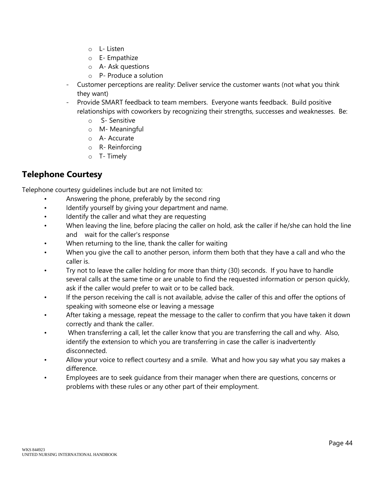- o L- Listen
- o E- Empathize
- o A- Ask questions
- o P- Produce a solution
- Customer perceptions are reality: Deliver service the customer wants (not what you think they want)
- Provide SMART feedback to team members. Everyone wants feedback. Build positive relationships with coworkers by recognizing their strengths, successes and weaknesses. Be:
	- o S- Sensitive
	- o M- Meaningful
	- o A- Accurate
	- o R- Reinforcing
	- o T- Timely

## **Telephone Courtesy**

Telephone courtesy guidelines include but are not limited to:

- Answering the phone, preferably by the second ring
- Identify yourself by giving your department and name.
- Identify the caller and what they are requesting
- When leaving the line, before placing the caller on hold, ask the caller if he/she can hold the line and wait for the caller's response
- When returning to the line, thank the caller for waiting
- When you give the call to another person, inform them both that they have a call and who the caller is.
- Try not to leave the caller holding for more than thirty (30) seconds. If you have to handle several calls at the same time or are unable to find the requested information or person quickly, ask if the caller would prefer to wait or to be called back.
- If the person receiving the call is not available, advise the caller of this and offer the options of speaking with someone else or leaving a message
- After taking a message, repeat the message to the caller to confirm that you have taken it down correctly and thank the caller.
- When transferring a call, let the caller know that you are transferring the call and why. Also, identify the extension to which you are transferring in case the caller is inadvertently disconnected.
- Allow your voice to reflect courtesy and a smile. What and how you say what you say makes a difference.
- Employees are to seek guidance from their manager when there are questions, concerns or problems with these rules or any other part of their employment.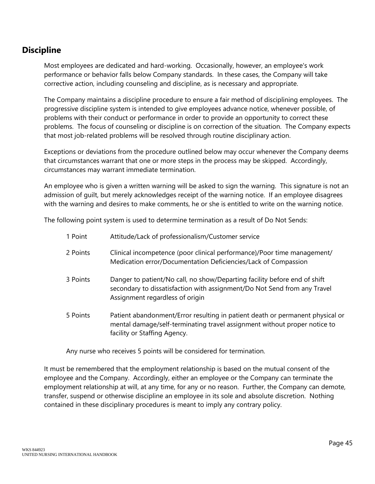## **Discipline**

Most employees are dedicated and hard-working. Occasionally, however, an employee's work performance or behavior falls below Company standards. In these cases, the Company will take corrective action, including counseling and discipline, as is necessary and appropriate.

The Company maintains a discipline procedure to ensure a fair method of disciplining employees. The progressive discipline system is intended to give employees advance notice, whenever possible, of problems with their conduct or performance in order to provide an opportunity to correct these problems. The focus of counseling or discipline is on correction of the situation. The Company expects that most job-related problems will be resolved through routine disciplinary action.

Exceptions or deviations from the procedure outlined below may occur whenever the Company deems that circumstances warrant that one or more steps in the process may be skipped. Accordingly, circumstances may warrant immediate termination.

An employee who is given a written warning will be asked to sign the warning. This signature is not an admission of guilt, but merely acknowledges receipt of the warning notice. If an employee disagrees with the warning and desires to make comments, he or she is entitled to write on the warning notice.

The following point system is used to determine termination as a result of Do Not Sends:

| 1 Point  | Attitude/Lack of professionalism/Customer service                                                                                                                                          |
|----------|--------------------------------------------------------------------------------------------------------------------------------------------------------------------------------------------|
| 2 Points | Clinical incompetence (poor clinical performance)/Poor time management/<br>Medication error/Documentation Deficiencies/Lack of Compassion                                                  |
| 3 Points | Danger to patient/No call, no show/Departing facility before end of shift<br>secondary to dissatisfaction with assignment/Do Not Send from any Travel<br>Assignment regardless of origin   |
| 5 Points | Patient abandonment/Error resulting in patient death or permanent physical or<br>mental damage/self-terminating travel assignment without proper notice to<br>facility or Staffing Agency. |

Any nurse who receives 5 points will be considered for termination.

It must be remembered that the employment relationship is based on the mutual consent of the employee and the Company. Accordingly, either an employee or the Company can terminate the employment relationship at will, at any time, for any or no reason. Further, the Company can demote, transfer, suspend or otherwise discipline an employee in its sole and absolute discretion. Nothing contained in these disciplinary procedures is meant to imply any contrary policy.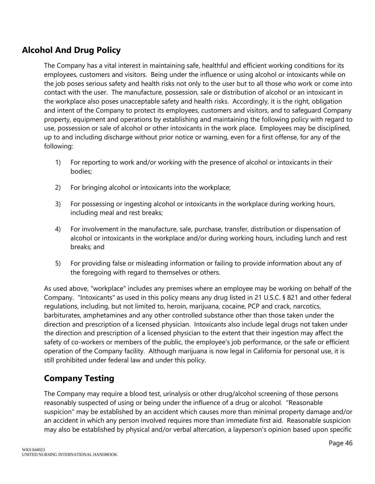# **Alcohol And Drug Policy**

The Company has a vital interest in maintaining safe, healthful and efficient working conditions for its employees, customers and visitors. Being under the influence or using alcohol or intoxicants while on the job poses serious safety and health risks not only to the user but to all those who work or come into contact with the user. The manufacture, possession, sale or distribution of alcohol or an intoxicant in the workplace also poses unacceptable safety and health risks. Accordingly, it is the right, obligation and intent of the Company to protect its employees, customers and visitors, and to safeguard Company property, equipment and operations by establishing and maintaining the following policy with regard to use, possession or sale of alcohol or other intoxicants in the work place. Employees may be disciplined, up to and including discharge without prior notice or warning, even for a first offense, for any of the following:

- 1) For reporting to work and/or working with the presence of alcohol or intoxicants in their bodies;
- 2) For bringing alcohol or intoxicants into the workplace;
- 3) For possessing or ingesting alcohol or intoxicants in the workplace during working hours, including meal and rest breaks;
- 4) For involvement in the manufacture, sale, purchase, transfer, distribution or dispensation of alcohol or intoxicants in the workplace and/or during working hours, including lunch and rest breaks; and
- 5) For providing false or misleading information or failing to provide information about any of the foregoing with regard to themselves or others.

As used above, "workplace" includes any premises where an employee may be working on behalf of the Company. "Intoxicants" as used in this policy means any drug listed in 21 U.S.C. § 821 and other federal regulations, including, but not limited to, heroin, marijuana, cocaine, PCP and crack, narcotics, barbiturates, amphetamines and any other controlled substance other than those taken under the direction and prescription of a licensed physician. Intoxicants also include legal drugs not taken under the direction and prescription of a licensed physician to the extent that their ingestion may affect the safety of co-workers or members of the public, the employee's job performance, or the safe or efficient operation of the Company facility. Although marijuana is now legal in California for personal use, it is still prohibited under federal law and under this policy.

# **Company Testing**

The Company may require a blood test, urinalysis or other drug/alcohol screening of those persons reasonably suspected of using or being under the influence of a drug or alcohol. "Reasonable suspicion" may be established by an accident which causes more than minimal property damage and/or an accident in which any person involved requires more than immediate first aid. Reasonable suspicion may also be established by physical and/or verbal altercation, a layperson's opinion based upon specific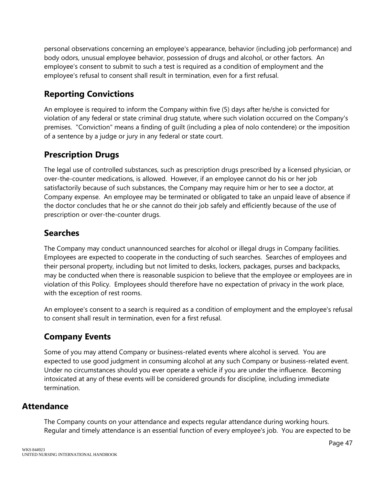personal observations concerning an employee's appearance, behavior (including job performance) and body odors, unusual employee behavior, possession of drugs and alcohol, or other factors. An employee's consent to submit to such a test is required as a condition of employment and the employee's refusal to consent shall result in termination, even for a first refusal.

# **Reporting Convictions**

An employee is required to inform the Company within five (5) days after he/she is convicted for violation of any federal or state criminal drug statute, where such violation occurred on the Company's premises. "Conviction" means a finding of guilt (including a plea of nolo contendere) or the imposition of a sentence by a judge or jury in any federal or state court.

# **Prescription Drugs**

The legal use of controlled substances, such as prescription drugs prescribed by a licensed physician, or over-the-counter medications, is allowed. However, if an employee cannot do his or her job satisfactorily because of such substances, the Company may require him or her to see a doctor, at Company expense. An employee may be terminated or obligated to take an unpaid leave of absence if the doctor concludes that he or she cannot do their job safely and efficiently because of the use of prescription or over-the-counter drugs.

# **Searches**

The Company may conduct unannounced searches for alcohol or illegal drugs in Company facilities. Employees are expected to cooperate in the conducting of such searches. Searches of employees and their personal property, including but not limited to desks, lockers, packages, purses and backpacks, may be conducted when there is reasonable suspicion to believe that the employee or employees are in violation of this Policy. Employees should therefore have no expectation of privacy in the work place, with the exception of rest rooms.

An employee's consent to a search is required as a condition of employment and the employee's refusal to consent shall result in termination, even for a first refusal.

# **Company Events**

Some of you may attend Company or business-related events where alcohol is served. You are expected to use good judgment in consuming alcohol at any such Company or business-related event. Under no circumstances should you ever operate a vehicle if you are under the influence. Becoming intoxicated at any of these events will be considered grounds for discipline, including immediate termination.

## **Attendance**

The Company counts on your attendance and expects regular attendance during working hours. Regular and timely attendance is an essential function of every employee's job. You are expected to be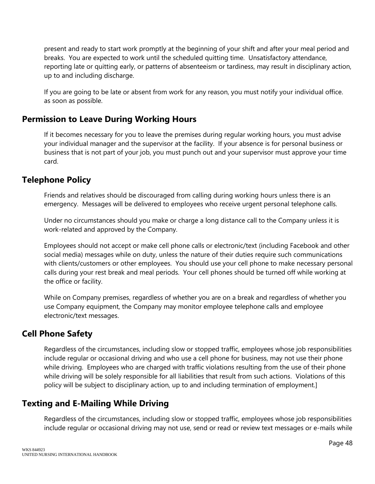present and ready to start work promptly at the beginning of your shift and after your meal period and breaks. You are expected to work until the scheduled quitting time. Unsatisfactory attendance, reporting late or quitting early, or patterns of absenteeism or tardiness, may result in disciplinary action, up to and including discharge.

If you are going to be late or absent from work for any reason, you must notify your individual office. as soon as possible.

# **Permission to Leave During Working Hours**

If it becomes necessary for you to leave the premises during regular working hours, you must advise your individual manager and the supervisor at the facility. If your absence is for personal business or business that is not part of your job, you must punch out and your supervisor must approve your time card.

## **Telephone Policy**

Friends and relatives should be discouraged from calling during working hours unless there is an emergency. Messages will be delivered to employees who receive urgent personal telephone calls.

Under no circumstances should you make or charge a long distance call to the Company unless it is work-related and approved by the Company.

Employees should not accept or make cell phone calls or electronic/text (including Facebook and other social media) messages while on duty, unless the nature of their duties require such communications with clients/customers or other employees. You should use your cell phone to make necessary personal calls during your rest break and meal periods. Your cell phones should be turned off while working at the office or facility.

While on Company premises, regardless of whether you are on a break and regardless of whether you use Company equipment, the Company may monitor employee telephone calls and employee electronic/text messages.

# **Cell Phone Safety**

Regardless of the circumstances, including slow or stopped traffic, employees whose job responsibilities include regular or occasional driving and who use a cell phone for business, may not use their phone while driving. Employees who are charged with traffic violations resulting from the use of their phone while driving will be solely responsible for all liabilities that result from such actions. Violations of this policy will be subject to disciplinary action, up to and including termination of employment.]

## **Texting and E-Mailing While Driving**

Regardless of the circumstances, including slow or stopped traffic, employees whose job responsibilities include regular or occasional driving may not use, send or read or review text messages or e-mails while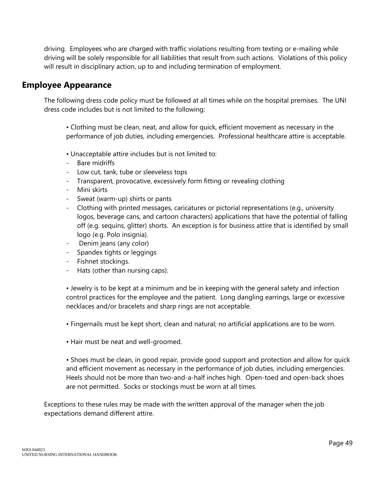driving. Employees who are charged with traffic violations resulting from texting or e-mailing while driving will be solely responsible for all liabilities that result from such actions. Violations of this policy will result in disciplinary action, up to and including termination of employment.

#### **Employee Appearance**

The following dress code policy must be followed at all times while on the hospital premises. The UNI dress code includes but is not limited to the following:

• Clothing must be clean, neat, and allow for quick, efficient movement as necessary in the performance of job duties, including emergencies. Professional healthcare attire is acceptable.

- Unacceptable attire includes but is not limited to:
- Bare midriffs
- Low cut, tank, tube or sleeveless tops
- Transparent, provocative, excessively form fitting or revealing clothing
- Mini skirts
- Sweat (warm-up) shirts or pants
- Clothing with printed messages, caricatures or pictorial representations (e.g., university logos, beverage cans, and cartoon characters) applications that have the potential of falling off (e.g. sequins, glitter) shorts. An exception is for business attire that is identified by small logo (e.g. Polo insignia).
- Denim jeans (any color)
- Spandex tights or leggings
- Fishnet stockings.
- Hats (other than nursing caps).

• Jewelry is to be kept at a minimum and be in keeping with the general safety and infection control practices for the employee and the patient. Long dangling earrings, large or excessive necklaces and/or bracelets and sharp rings are not acceptable.

- Fingernails must be kept short, clean and natural; no artificial applications are to be worn.
- Hair must be neat and well-groomed.

• Shoes must be clean, in good repair, provide good support and protection and allow for quick and efficient movement as necessary in the performance of job duties, including emergencies. Heels should not be more than two-and-a-half inches high. Open-toed and open-back shoes are not permitted. Socks or stockings must be worn at all times.

Exceptions to these rules may be made with the written approval of the manager when the job expectations demand different attire.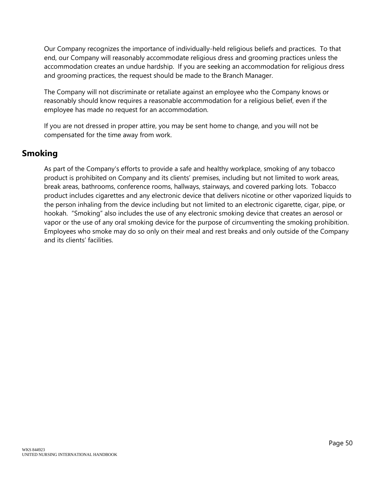Our Company recognizes the importance of individually-held religious beliefs and practices. To that end, our Company will reasonably accommodate religious dress and grooming practices unless the accommodation creates an undue hardship. If you are seeking an accommodation for religious dress and grooming practices, the request should be made to the Branch Manager.

The Company will not discriminate or retaliate against an employee who the Company knows or reasonably should know requires a reasonable accommodation for a religious belief, even if the employee has made no request for an accommodation.

If you are not dressed in proper attire, you may be sent home to change, and you will not be compensated for the time away from work.

## **Smoking**

As part of the Company's efforts to provide a safe and healthy workplace, smoking of any tobacco product is prohibited on Company and its clients' premises, including but not limited to work areas, break areas, bathrooms, conference rooms, hallways, stairways, and covered parking lots. Tobacco product includes cigarettes and any electronic device that delivers nicotine or other vaporized liquids to the person inhaling from the device including but not limited to an electronic cigarette, cigar, pipe, or hookah. "Smoking" also includes the use of any electronic smoking device that creates an aerosol or vapor or the use of any oral smoking device for the purpose of circumventing the smoking prohibition. Employees who smoke may do so only on their meal and rest breaks and only outside of the Company and its clients' facilities.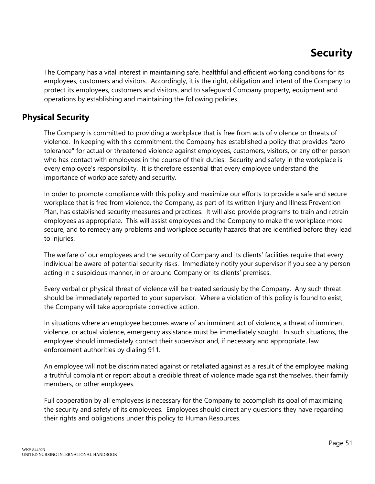The Company has a vital interest in maintaining safe, healthful and efficient working conditions for its employees, customers and visitors. Accordingly, it is the right, obligation and intent of the Company to protect its employees, customers and visitors, and to safeguard Company property, equipment and operations by establishing and maintaining the following policies.

# **Physical Security**

The Company is committed to providing a workplace that is free from acts of violence or threats of violence. In keeping with this commitment, the Company has established a policy that provides "zero tolerance" for actual or threatened violence against employees, customers, visitors, or any other person who has contact with employees in the course of their duties. Security and safety in the workplace is every employee's responsibility. It is therefore essential that every employee understand the importance of workplace safety and security.

In order to promote compliance with this policy and maximize our efforts to provide a safe and secure workplace that is free from violence, the Company, as part of its written Injury and Illness Prevention Plan, has established security measures and practices. It will also provide programs to train and retrain employees as appropriate. This will assist employees and the Company to make the workplace more secure, and to remedy any problems and workplace security hazards that are identified before they lead to injuries.

The welfare of our employees and the security of Company and its clients' facilities require that every individual be aware of potential security risks. Immediately notify your supervisor if you see any person acting in a suspicious manner, in or around Company or its clients' premises.

Every verbal or physical threat of violence will be treated seriously by the Company. Any such threat should be immediately reported to your supervisor. Where a violation of this policy is found to exist, the Company will take appropriate corrective action.

In situations where an employee becomes aware of an imminent act of violence, a threat of imminent violence, or actual violence, emergency assistance must be immediately sought. In such situations, the employee should immediately contact their supervisor and, if necessary and appropriate, law enforcement authorities by dialing 911.

An employee will not be discriminated against or retaliated against as a result of the employee making a truthful complaint or report about a credible threat of violence made against themselves, their family members, or other employees.

Full cooperation by all employees is necessary for the Company to accomplish its goal of maximizing the security and safety of its employees. Employees should direct any questions they have regarding their rights and obligations under this policy to Human Resources.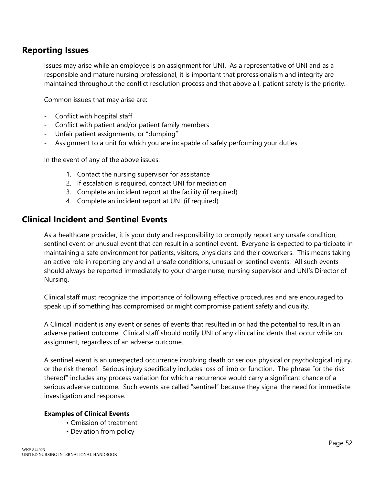#### **Reporting Issues**

Issues may arise while an employee is on assignment for UNI. As a representative of UNI and as a responsible and mature nursing professional, it is important that professionalism and integrity are maintained throughout the conflict resolution process and that above all, patient safety is the priority.

Common issues that may arise are:

- Conflict with hospital staff
- Conflict with patient and/or patient family members
- Unfair patient assignments, or "dumping"
- Assignment to a unit for which you are incapable of safely performing your duties

In the event of any of the above issues:

- 1. Contact the nursing supervisor for assistance
- 2. If escalation is required, contact UNI for mediation
- 3. Complete an incident report at the facility (if required)
- 4. Complete an incident report at UNI (if required)

#### **Clinical Incident and Sentinel Events**

As a healthcare provider, it is your duty and responsibility to promptly report any unsafe condition, sentinel event or unusual event that can result in a sentinel event. Everyone is expected to participate in maintaining a safe environment for patients, visitors, physicians and their coworkers. This means taking an active role in reporting any and all unsafe conditions, unusual or sentinel events. All such events should always be reported immediately to your charge nurse, nursing supervisor and UNI's Director of Nursing.

Clinical staff must recognize the importance of following effective procedures and are encouraged to speak up if something has compromised or might compromise patient safety and quality.

A Clinical Incident is any event or series of events that resulted in or had the potential to result in an adverse patient outcome. Clinical staff should notify UNI of any clinical incidents that occur while on assignment, regardless of an adverse outcome.

A sentinel event is an unexpected occurrence involving death or serious physical or psychological injury, or the risk thereof. Serious injury specifically includes loss of limb or function. The phrase "or the risk thereof" includes any process variation for which a recurrence would carry a significant chance of a serious adverse outcome. Such events are called "sentinel" because they signal the need for immediate investigation and response.

#### **Examples of Clinical Events**

- Omission of treatment
- Deviation from policy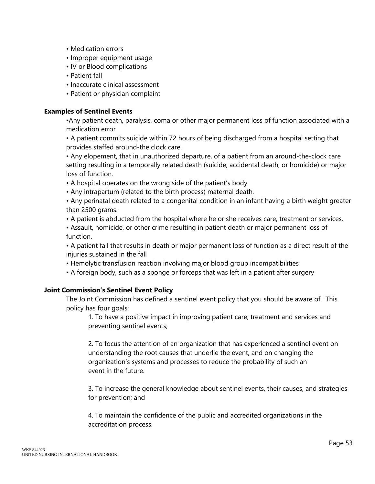- Medication errors
- Improper equipment usage
- IV or Blood complications
- Patient fall
- Inaccurate clinical assessment
- Patient or physician complaint

#### **Examples of Sentinel Events**

•Any patient death, paralysis, coma or other major permanent loss of function associated with a medication error

• A patient commits suicide within 72 hours of being discharged from a hospital setting that provides staffed around-the clock care.

• Any elopement, that in unauthorized departure, of a patient from an around-the-clock care setting resulting in a temporally related death (suicide, accidental death, or homicide) or major loss of function.

- A hospital operates on the wrong side of the patient's body
- Any intrapartum (related to the birth process) maternal death.

• Any perinatal death related to a congenital condition in an infant having a birth weight greater than 2500 grams.

• A patient is abducted from the hospital where he or she receives care, treatment or services.

• Assault, homicide, or other crime resulting in patient death or major permanent loss of function.

• A patient fall that results in death or major permanent loss of function as a direct result of the injuries sustained in the fall

- Hemolytic transfusion reaction involving major blood group incompatibilities
- A foreign body, such as a sponge or forceps that was left in a patient after surgery

#### **Joint Commission's Sentinel Event Policy**

The Joint Commission has defined a sentinel event policy that you should be aware of. This policy has four goals:

1. To have a positive impact in improving patient care, treatment and services and preventing sentinel events;

2. To focus the attention of an organization that has experienced a sentinel event on understanding the root causes that underlie the event, and on changing the organization's systems and processes to reduce the probability of such an event in the future.

3. To increase the general knowledge about sentinel events, their causes, and strategies for prevention; and

4. To maintain the confidence of the public and accredited organizations in the accreditation process.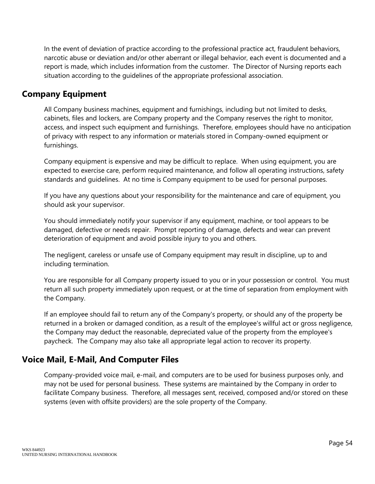In the event of deviation of practice according to the professional practice act, fraudulent behaviors, narcotic abuse or deviation and/or other aberrant or illegal behavior, each event is documented and a report is made, which includes information from the customer. The Director of Nursing reports each situation according to the guidelines of the appropriate professional association.

#### **Company Equipment**

All Company business machines, equipment and furnishings, including but not limited to desks, cabinets, files and lockers, are Company property and the Company reserves the right to monitor, access, and inspect such equipment and furnishings. Therefore, employees should have no anticipation of privacy with respect to any information or materials stored in Company-owned equipment or furnishings.

Company equipment is expensive and may be difficult to replace. When using equipment, you are expected to exercise care, perform required maintenance, and follow all operating instructions, safety standards and guidelines. At no time is Company equipment to be used for personal purposes.

If you have any questions about your responsibility for the maintenance and care of equipment, you should ask your supervisor.

You should immediately notify your supervisor if any equipment, machine, or tool appears to be damaged, defective or needs repair. Prompt reporting of damage, defects and wear can prevent deterioration of equipment and avoid possible injury to you and others.

The negligent, careless or unsafe use of Company equipment may result in discipline, up to and including termination.

You are responsible for all Company property issued to you or in your possession or control. You must return all such property immediately upon request, or at the time of separation from employment with the Company.

If an employee should fail to return any of the Company's property, or should any of the property be returned in a broken or damaged condition, as a result of the employee's willful act or gross negligence, the Company may deduct the reasonable, depreciated value of the property from the employee's paycheck. The Company may also take all appropriate legal action to recover its property.

## **Voice Mail, E-Mail, And Computer Files**

Company-provided voice mail, e-mail, and computers are to be used for business purposes only, and may not be used for personal business. These systems are maintained by the Company in order to facilitate Company business. Therefore, all messages sent, received, composed and/or stored on these systems (even with offsite providers) are the sole property of the Company.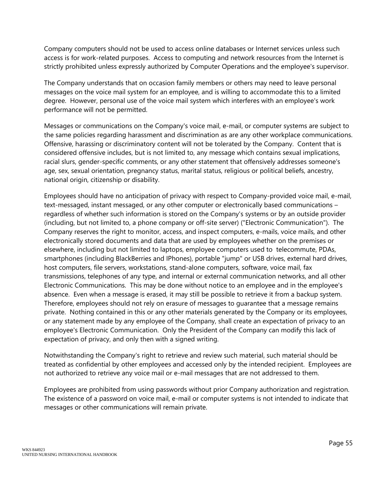Company computers should not be used to access online databases or Internet services unless such access is for work-related purposes. Access to computing and network resources from the Internet is strictly prohibited unless expressly authorized by Computer Operations and the employee's supervisor.

The Company understands that on occasion family members or others may need to leave personal messages on the voice mail system for an employee, and is willing to accommodate this to a limited degree. However, personal use of the voice mail system which interferes with an employee's work performance will not be permitted.

Messages or communications on the Company's voice mail, e-mail, or computer systems are subject to the same policies regarding harassment and discrimination as are any other workplace communications. Offensive, harassing or discriminatory content will not be tolerated by the Company. Content that is considered offensive includes, but is not limited to, any message which contains sexual implications, racial slurs, gender-specific comments, or any other statement that offensively addresses someone's age, sex, sexual orientation, pregnancy status, marital status, religious or political beliefs, ancestry, national origin, citizenship or disability.

Employees should have no anticipation of privacy with respect to Company-provided voice mail, e-mail, text-messaged, instant messaged, or any other computer or electronically based communications – regardless of whether such information is stored on the Company's systems or by an outside provider (including, but not limited to, a phone company or off-site server) ("Electronic Communication"). The Company reserves the right to monitor, access, and inspect computers, e-mails, voice mails, and other electronically stored documents and data that are used by employees whether on the premises or elsewhere, including but not limited to laptops, employee computers used to telecommute, PDAs, smartphones (including BlackBerries and IPhones), portable "jump" or USB drives, external hard drives, host computers, file servers, workstations, stand-alone computers, software, voice mail, fax transmissions, telephones of any type, and internal or external communication networks, and all other Electronic Communications. This may be done without notice to an employee and in the employee's absence. Even when a message is erased, it may still be possible to retrieve it from a backup system. Therefore, employees should not rely on erasure of messages to guarantee that a message remains private. Nothing contained in this or any other materials generated by the Company or its employees, or any statement made by any employee of the Company, shall create an expectation of privacy to an employee's Electronic Communication. Only the President of the Company can modify this lack of expectation of privacy, and only then with a signed writing.

Notwithstanding the Company's right to retrieve and review such material, such material should be treated as confidential by other employees and accessed only by the intended recipient. Employees are not authorized to retrieve any voice mail or e-mail messages that are not addressed to them.

Employees are prohibited from using passwords without prior Company authorization and registration. The existence of a password on voice mail, e-mail or computer systems is not intended to indicate that messages or other communications will remain private.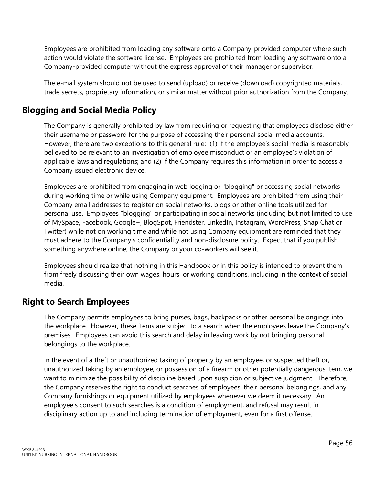Employees are prohibited from loading any software onto a Company-provided computer where such action would violate the software license. Employees are prohibited from loading any software onto a Company-provided computer without the express approval of their manager or supervisor.

The e-mail system should not be used to send (upload) or receive (download) copyrighted materials, trade secrets, proprietary information, or similar matter without prior authorization from the Company.

# **Blogging and Social Media Policy**

The Company is generally prohibited by law from requiring or requesting that employees disclose either their username or password for the purpose of accessing their personal social media accounts. However, there are two exceptions to this general rule: (1) if the employee's social media is reasonably believed to be relevant to an investigation of employee misconduct or an employee's violation of applicable laws and regulations; and (2) if the Company requires this information in order to access a Company issued electronic device.

Employees are prohibited from engaging in web logging or "blogging" or accessing social networks during working time or while using Company equipment. Employees are prohibited from using their Company email addresses to register on social networks, blogs or other online tools utilized for personal use. Employees "blogging" or participating in social networks (including but not limited to use of MySpace, Facebook, Google+, BlogSpot, Friendster, LinkedIn, Instagram, WordPress, Snap Chat or Twitter) while not on working time and while not using Company equipment are reminded that they must adhere to the Company's confidentiality and non-disclosure policy. Expect that if you publish something anywhere online, the Company or your co-workers will see it.

Employees should realize that nothing in this Handbook or in this policy is intended to prevent them from freely discussing their own wages, hours, or working conditions, including in the context of social media.

## **Right to Search Employees**

The Company permits employees to bring purses, bags, backpacks or other personal belongings into the workplace. However, these items are subject to a search when the employees leave the Company's premises. Employees can avoid this search and delay in leaving work by not bringing personal belongings to the workplace.

In the event of a theft or unauthorized taking of property by an employee, or suspected theft or, unauthorized taking by an employee, or possession of a firearm or other potentially dangerous item, we want to minimize the possibility of discipline based upon suspicion or subjective judgment. Therefore, the Company reserves the right to conduct searches of employees, their personal belongings, and any Company furnishings or equipment utilized by employees whenever we deem it necessary. An employee's consent to such searches is a condition of employment, and refusal may result in disciplinary action up to and including termination of employment, even for a first offense.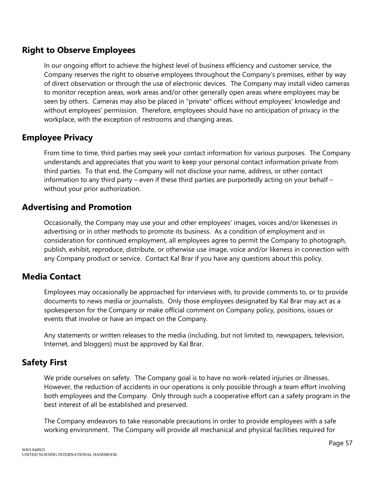## **Right to Observe Employees**

In our ongoing effort to achieve the highest level of business efficiency and customer service, the Company reserves the right to observe employees throughout the Company's premises, either by way of direct observation or through the use of electronic devices. The Company may install video cameras to monitor reception areas, work areas and/or other generally open areas where employees may be seen by others. Cameras may also be placed in "private" offices without employees' knowledge and without employees' permission. Therefore, employees should have no anticipation of privacy in the workplace, with the exception of restrooms and changing areas.

### **Employee Privacy**

From time to time, third parties may seek your contact information for various purposes. The Company understands and appreciates that you want to keep your personal contact information private from third parties. To that end, the Company will not disclose your name, address, or other contact information to any third party – even if these third parties are purportedly acting on your behalf – without your prior authorization.

### **Advertising and Promotion**

Occasionally, the Company may use your and other employees' images, voices and/or likenesses in advertising or in other methods to promote its business. As a condition of employment and in consideration for continued employment, all employees agree to permit the Company to photograph, publish, exhibit, reproduce, distribute, or otherwise use image, voice and/or likeness in connection with any Company product or service. Contact Kal Brar if you have any questions about this policy.

#### **Media Contact**

Employees may occasionally be approached for interviews with, to provide comments to, or to provide documents to news media or journalists. Only those employees designated by Kal Brar may act as a spokesperson for the Company or make official comment on Company policy, positions, issues or events that involve or have an impact on the Company.

Any statements or written releases to the media (including, but not limited to, newspapers, television, Internet, and bloggers) must be approved by Kal Brar.

#### **Safety First**

We pride ourselves on safety. The Company goal is to have no work-related injuries or illnesses. However, the reduction of accidents in our operations is only possible through a team effort involving both employees and the Company. Only through such a cooperative effort can a safety program in the best interest of all be established and preserved.

The Company endeavors to take reasonable precautions in order to provide employees with a safe working environment. The Company will provide all mechanical and physical facilities required for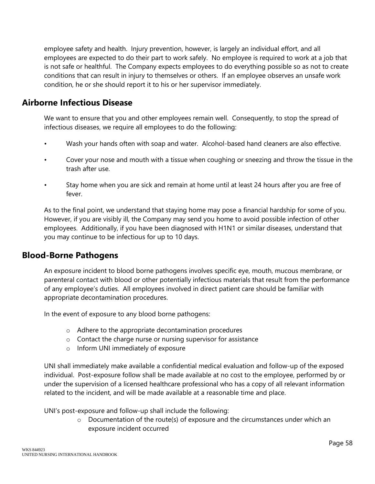employee safety and health. Injury prevention, however, is largely an individual effort, and all employees are expected to do their part to work safely. No employee is required to work at a job that is not safe or healthful. The Company expects employees to do everything possible so as not to create conditions that can result in injury to themselves or others. If an employee observes an unsafe work condition, he or she should report it to his or her supervisor immediately.

#### **Airborne Infectious Disease**

We want to ensure that you and other employees remain well. Consequently, to stop the spread of infectious diseases, we require all employees to do the following:

- Wash your hands often with soap and water. Alcohol-based hand cleaners are also effective.
- Cover your nose and mouth with a tissue when coughing or sneezing and throw the tissue in the trash after use.
- Stay home when you are sick and remain at home until at least 24 hours after you are free of fever.

As to the final point, we understand that staying home may pose a financial hardship for some of you. However, if you are visibly ill, the Company may send you home to avoid possible infection of other employees. Additionally, if you have been diagnosed with H1N1 or similar diseases, understand that you may continue to be infectious for up to 10 days.

#### **Blood-Borne Pathogens**

An exposure incident to blood borne pathogens involves specific eye, mouth, mucous membrane, or parenteral contact with blood or other potentially infectious materials that result from the performance of any employee's duties. All employees involved in direct patient care should be familiar with appropriate decontamination procedures.

In the event of exposure to any blood borne pathogens:

- o Adhere to the appropriate decontamination procedures
- o Contact the charge nurse or nursing supervisor for assistance
- o Inform UNI immediately of exposure

UNI shall immediately make available a confidential medical evaluation and follow-up of the exposed individual. Post-exposure follow shall be made available at no cost to the employee, performed by or under the supervision of a licensed healthcare professional who has a copy of all relevant information related to the incident, and will be made available at a reasonable time and place.

UNI's post-exposure and follow-up shall include the following:

o Documentation of the route(s) of exposure and the circumstances under which an exposure incident occurred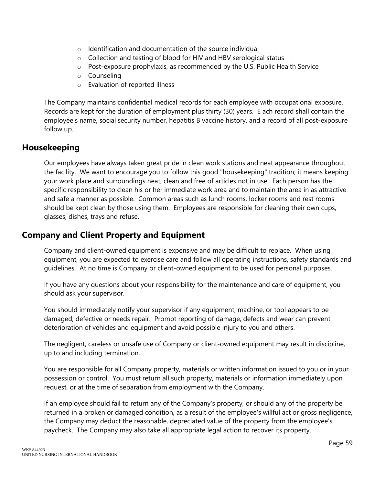- o Identification and documentation of the source individual
- o Collection and testing of blood for HIV and HBV serological status
- o Post-exposure prophylaxis, as recommended by the U.S. Public Health Service
- o Counseling
- o Evaluation of reported illness

The Company maintains confidential medical records for each employee with occupational exposure. Records are kept for the duration of employment plus thirty (30) years. E ach record shall contain the employee's name, social security number, hepatitis B vaccine history, and a record of all post-exposure follow up.

## **Housekeeping**

Our employees have always taken great pride in clean work stations and neat appearance throughout the facility. We want to encourage you to follow this good "housekeeping" tradition; it means keeping your work place and surroundings neat, clean and free of articles not in use. Each person has the specific responsibility to clean his or her immediate work area and to maintain the area in as attractive and safe a manner as possible. Common areas such as lunch rooms, locker rooms and rest rooms should be kept clean by those using them. Employees are responsible for cleaning their own cups, glasses, dishes, trays and refuse.

## **Company and Client Property and Equipment**

Company and client-owned equipment is expensive and may be difficult to replace. When using equipment, you are expected to exercise care and follow all operating instructions, safety standards and guidelines. At no time is Company or client-owned equipment to be used for personal purposes.

If you have any questions about your responsibility for the maintenance and care of equipment, you should ask your supervisor.

You should immediately notify your supervisor if any equipment, machine, or tool appears to be damaged, defective or needs repair. Prompt reporting of damage, defects and wear can prevent deterioration of vehicles and equipment and avoid possible injury to you and others.

The negligent, careless or unsafe use of Company or client-owned equipment may result in discipline, up to and including termination.

You are responsible for all Company property, materials or written information issued to you or in your possession or control. You must return all such property, materials or information immediately upon request, or at the time of separation from employment with the Company.

If an employee should fail to return any of the Company's property, or should any of the property be returned in a broken or damaged condition, as a result of the employee's willful act or gross negligence, the Company may deduct the reasonable, depreciated value of the property from the employee's paycheck. The Company may also take all appropriate legal action to recover its property.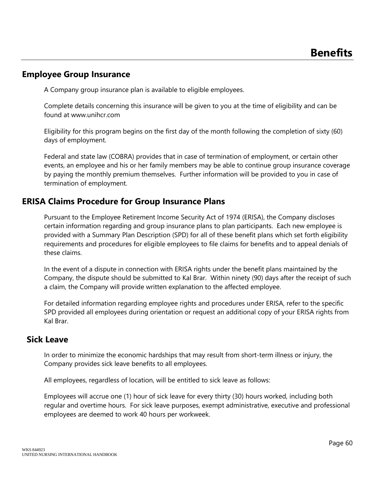#### **Employee Group Insurance**

A Company group insurance plan is available to eligible employees.

Complete details concerning this insurance will be given to you at the time of eligibility and can be found at www.unihcr.com

Eligibility for this program begins on the first day of the month following the completion of sixty (60) days of employment.

Federal and state law (COBRA) provides that in case of termination of employment, or certain other events, an employee and his or her family members may be able to continue group insurance coverage by paying the monthly premium themselves. Further information will be provided to you in case of termination of employment.

## **ERISA Claims Procedure for Group Insurance Plans**

Pursuant to the Employee Retirement Income Security Act of 1974 (ERISA), the Company discloses certain information regarding and group insurance plans to plan participants. Each new employee is provided with a Summary Plan Description (SPD) for all of these benefit plans which set forth eligibility requirements and procedures for eligible employees to file claims for benefits and to appeal denials of these claims.

In the event of a dispute in connection with ERISA rights under the benefit plans maintained by the Company, the dispute should be submitted to Kal Brar. Within ninety (90) days after the receipt of such a claim, the Company will provide written explanation to the affected employee.

For detailed information regarding employee rights and procedures under ERISA, refer to the specific SPD provided all employees during orientation or request an additional copy of your ERISA rights from Kal Brar.

#### **Sick Leave**

In order to minimize the economic hardships that may result from short-term illness or injury, the Company provides sick leave benefits to all employees.

All employees, regardless of location, will be entitled to sick leave as follows:

Employees will accrue one (1) hour of sick leave for every thirty (30) hours worked, including both regular and overtime hours. For sick leave purposes, exempt administrative, executive and professional employees are deemed to work 40 hours per workweek.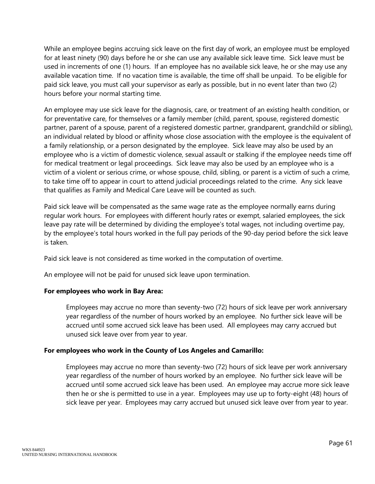While an employee begins accruing sick leave on the first day of work, an employee must be employed for at least ninety (90) days before he or she can use any available sick leave time. Sick leave must be used in increments of one (1) hours. If an employee has no available sick leave, he or she may use any available vacation time. If no vacation time is available, the time off shall be unpaid. To be eligible for paid sick leave, you must call your supervisor as early as possible, but in no event later than two (2) hours before your normal starting time.

An employee may use sick leave for the diagnosis, care, or treatment of an existing health condition, or for preventative care, for themselves or a family member (child, parent, spouse, registered domestic partner, parent of a spouse, parent of a registered domestic partner, grandparent, grandchild or sibling), an individual related by blood or affinity whose close association with the employee is the equivalent of a family relationship, or a person designated by the employee. Sick leave may also be used by an employee who is a victim of domestic violence, sexual assault or stalking if the employee needs time off for medical treatment or legal proceedings. Sick leave may also be used by an employee who is a victim of a violent or serious crime, or whose spouse, child, sibling, or parent is a victim of such a crime, to take time off to appear in court to attend judicial proceedings related to the crime. Any sick leave that qualifies as Family and Medical Care Leave will be counted as such.

Paid sick leave will be compensated as the same wage rate as the employee normally earns during regular work hours. For employees with different hourly rates or exempt, salaried employees, the sick leave pay rate will be determined by dividing the employee's total wages, not including overtime pay, by the employee's total hours worked in the full pay periods of the 90-day period before the sick leave is taken.

Paid sick leave is not considered as time worked in the computation of overtime.

An employee will not be paid for unused sick leave upon termination.

#### **For employees who work in Bay Area:**

Employees may accrue no more than seventy-two (72) hours of sick leave per work anniversary year regardless of the number of hours worked by an employee. No further sick leave will be accrued until some accrued sick leave has been used. All employees may carry accrued but unused sick leave over from year to year.

#### **For employees who work in the County of Los Angeles and Camarillo:**

Employees may accrue no more than seventy-two (72) hours of sick leave per work anniversary year regardless of the number of hours worked by an employee. No further sick leave will be accrued until some accrued sick leave has been used. An employee may accrue more sick leave then he or she is permitted to use in a year. Employees may use up to forty-eight (48) hours of sick leave per year. Employees may carry accrued but unused sick leave over from year to year.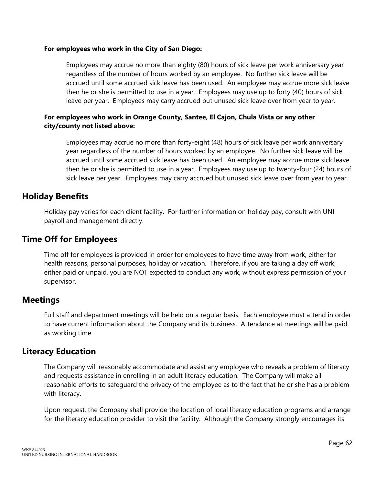#### **For employees who work in the City of San Diego:**

Employees may accrue no more than eighty (80) hours of sick leave per work anniversary year regardless of the number of hours worked by an employee. No further sick leave will be accrued until some accrued sick leave has been used. An employee may accrue more sick leave then he or she is permitted to use in a year. Employees may use up to forty (40) hours of sick leave per year. Employees may carry accrued but unused sick leave over from year to year.

#### **For employees who work in Orange County, Santee, El Cajon, Chula Vista or any other city/county not listed above:**

Employees may accrue no more than forty-eight (48) hours of sick leave per work anniversary year regardless of the number of hours worked by an employee. No further sick leave will be accrued until some accrued sick leave has been used. An employee may accrue more sick leave then he or she is permitted to use in a year. Employees may use up to twenty-four (24) hours of sick leave per year. Employees may carry accrued but unused sick leave over from year to year.

### **Holiday Benefits**

Holiday pay varies for each client facility. For further information on holiday pay, consult with UNI payroll and management directly.

# **Time Off for Employees**

Time off for employees is provided in order for employees to have time away from work, either for health reasons, personal purposes, holiday or vacation. Therefore, if you are taking a day off work, either paid or unpaid, you are NOT expected to conduct any work, without express permission of your supervisor.

## **Meetings**

Full staff and department meetings will be held on a regular basis. Each employee must attend in order to have current information about the Company and its business. Attendance at meetings will be paid as working time.

## **Literacy Education**

The Company will reasonably accommodate and assist any employee who reveals a problem of literacy and requests assistance in enrolling in an adult literacy education. The Company will make all reasonable efforts to safeguard the privacy of the employee as to the fact that he or she has a problem with literacy.

Upon request, the Company shall provide the location of local literacy education programs and arrange for the literacy education provider to visit the facility. Although the Company strongly encourages its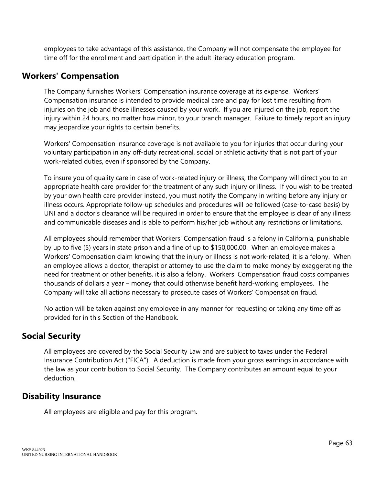employees to take advantage of this assistance, the Company will not compensate the employee for time off for the enrollment and participation in the adult literacy education program.

#### **Workers' Compensation**

The Company furnishes Workers' Compensation insurance coverage at its expense. Workers' Compensation insurance is intended to provide medical care and pay for lost time resulting from injuries on the job and those illnesses caused by your work. If you are injured on the job, report the injury within 24 hours, no matter how minor, to your branch manager. Failure to timely report an injury may jeopardize your rights to certain benefits.

Workers' Compensation insurance coverage is not available to you for injuries that occur during your voluntary participation in any off-duty recreational, social or athletic activity that is not part of your work-related duties, even if sponsored by the Company.

To insure you of quality care in case of work-related injury or illness, the Company will direct you to an appropriate health care provider for the treatment of any such injury or illness. If you wish to be treated by your own health care provider instead, you must notify the Company in writing before any injury or illness occurs. Appropriate follow-up schedules and procedures will be followed (case-to-case basis) by UNI and a doctor's clearance will be required in order to ensure that the employee is clear of any illness and communicable diseases and is able to perform his/her job without any restrictions or limitations.

All employees should remember that Workers' Compensation fraud is a felony in California, punishable by up to five (5) years in state prison and a fine of up to \$150,000.00. When an employee makes a Workers' Compensation claim knowing that the injury or illness is not work-related, it is a felony. When an employee allows a doctor, therapist or attorney to use the claim to make money by exaggerating the need for treatment or other benefits, it is also a felony. Workers' Compensation fraud costs companies thousands of dollars a year – money that could otherwise benefit hard-working employees. The Company will take all actions necessary to prosecute cases of Workers' Compensation fraud.

No action will be taken against any employee in any manner for requesting or taking any time off as provided for in this Section of the Handbook.

## **Social Security**

All employees are covered by the Social Security Law and are subject to taxes under the Federal Insurance Contribution Act ("FICA"). A deduction is made from your gross earnings in accordance with the law as your contribution to Social Security. The Company contributes an amount equal to your deduction.

#### **Disability Insurance**

All employees are eligible and pay for this program.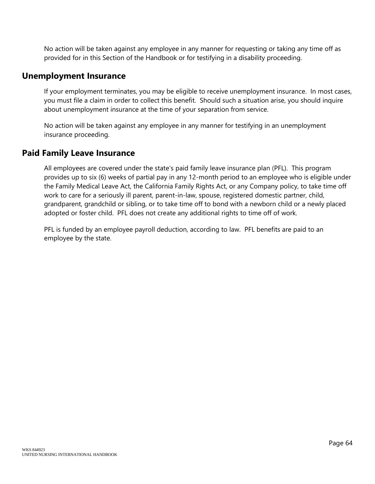No action will be taken against any employee in any manner for requesting or taking any time off as provided for in this Section of the Handbook or for testifying in a disability proceeding.

#### **Unemployment Insurance**

If your employment terminates, you may be eligible to receive unemployment insurance. In most cases, you must file a claim in order to collect this benefit. Should such a situation arise, you should inquire about unemployment insurance at the time of your separation from service.

No action will be taken against any employee in any manner for testifying in an unemployment insurance proceeding.

### **Paid Family Leave Insurance**

All employees are covered under the state's paid family leave insurance plan (PFL). This program provides up to six (6) weeks of partial pay in any 12-month period to an employee who is eligible under the Family Medical Leave Act, the California Family Rights Act, or any Company policy, to take time off work to care for a seriously ill parent, parent-in-law, spouse, registered domestic partner, child, grandparent, grandchild or sibling, or to take time off to bond with a newborn child or a newly placed adopted or foster child. PFL does not create any additional rights to time off of work.

PFL is funded by an employee payroll deduction, according to law. PFL benefits are paid to an employee by the state.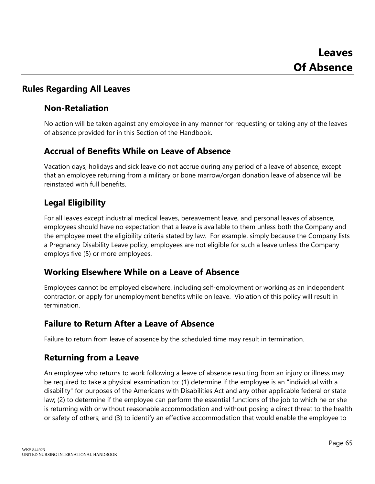# **Rules Regarding All Leaves**

## **Non-Retaliation**

No action will be taken against any employee in any manner for requesting or taking any of the leaves of absence provided for in this Section of the Handbook.

# **Accrual of Benefits While on Leave of Absence**

Vacation days, holidays and sick leave do not accrue during any period of a leave of absence, except that an employee returning from a military or bone marrow/organ donation leave of absence will be reinstated with full benefits.

# **Legal Eligibility**

For all leaves except industrial medical leaves, bereavement leave, and personal leaves of absence, employees should have no expectation that a leave is available to them unless both the Company and the employee meet the eligibility criteria stated by law. For example, simply because the Company lists a Pregnancy Disability Leave policy, employees are not eligible for such a leave unless the Company employs five (5) or more employees.

## **Working Elsewhere While on a Leave of Absence**

Employees cannot be employed elsewhere, including self-employment or working as an independent contractor, or apply for unemployment benefits while on leave. Violation of this policy will result in termination.

# **Failure to Return After a Leave of Absence**

Failure to return from leave of absence by the scheduled time may result in termination.

# **Returning from a Leave**

An employee who returns to work following a leave of absence resulting from an injury or illness may be required to take a physical examination to: (1) determine if the employee is an "individual with a disability" for purposes of the Americans with Disabilities Act and any other applicable federal or state law; (2) to determine if the employee can perform the essential functions of the job to which he or she is returning with or without reasonable accommodation and without posing a direct threat to the health or safety of others; and (3) to identify an effective accommodation that would enable the employee to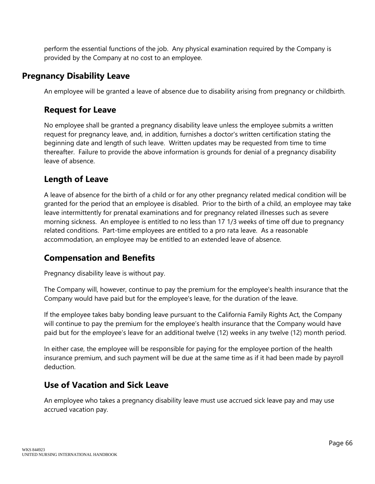perform the essential functions of the job. Any physical examination required by the Company is provided by the Company at no cost to an employee.

### **Pregnancy Disability Leave**

An employee will be granted a leave of absence due to disability arising from pregnancy or childbirth.

# **Request for Leave**

No employee shall be granted a pregnancy disability leave unless the employee submits a written request for pregnancy leave, and, in addition, furnishes a doctor's written certification stating the beginning date and length of such leave. Written updates may be requested from time to time thereafter. Failure to provide the above information is grounds for denial of a pregnancy disability leave of absence.

# **Length of Leave**

A leave of absence for the birth of a child or for any other pregnancy related medical condition will be granted for the period that an employee is disabled. Prior to the birth of a child, an employee may take leave intermittently for prenatal examinations and for pregnancy related illnesses such as severe morning sickness. An employee is entitled to no less than 17 1/3 weeks of time off due to pregnancy related conditions. Part-time employees are entitled to a pro rata leave. As a reasonable accommodation, an employee may be entitled to an extended leave of absence.

# **Compensation and Benefits**

Pregnancy disability leave is without pay.

The Company will, however, continue to pay the premium for the employee's health insurance that the Company would have paid but for the employee's leave, for the duration of the leave.

If the employee takes baby bonding leave pursuant to the California Family Rights Act, the Company will continue to pay the premium for the employee's health insurance that the Company would have paid but for the employee's leave for an additional twelve (12) weeks in any twelve (12) month period.

In either case, the employee will be responsible for paying for the employee portion of the health insurance premium, and such payment will be due at the same time as if it had been made by payroll deduction.

# **Use of Vacation and Sick Leave**

An employee who takes a pregnancy disability leave must use accrued sick leave pay and may use accrued vacation pay.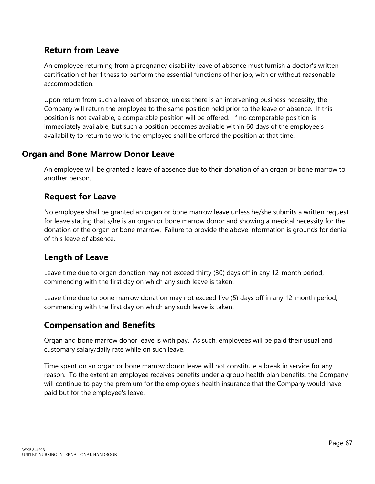## **Return from Leave**

An employee returning from a pregnancy disability leave of absence must furnish a doctor's written certification of her fitness to perform the essential functions of her job, with or without reasonable accommodation.

Upon return from such a leave of absence, unless there is an intervening business necessity, the Company will return the employee to the same position held prior to the leave of absence. If this position is not available, a comparable position will be offered. If no comparable position is immediately available, but such a position becomes available within 60 days of the employee's availability to return to work, the employee shall be offered the position at that time.

#### **Organ and Bone Marrow Donor Leave**

An employee will be granted a leave of absence due to their donation of an organ or bone marrow to another person.

#### **Request for Leave**

No employee shall be granted an organ or bone marrow leave unless he/she submits a written request for leave stating that s/he is an organ or bone marrow donor and showing a medical necessity for the donation of the organ or bone marrow. Failure to provide the above information is grounds for denial of this leave of absence.

#### **Length of Leave**

Leave time due to organ donation may not exceed thirty (30) days off in any 12-month period, commencing with the first day on which any such leave is taken.

Leave time due to bone marrow donation may not exceed five (5) days off in any 12-month period, commencing with the first day on which any such leave is taken.

#### **Compensation and Benefits**

Organ and bone marrow donor leave is with pay. As such, employees will be paid their usual and customary salary/daily rate while on such leave.

Time spent on an organ or bone marrow donor leave will not constitute a break in service for any reason. To the extent an employee receives benefits under a group health plan benefits, the Company will continue to pay the premium for the employee's health insurance that the Company would have paid but for the employee's leave.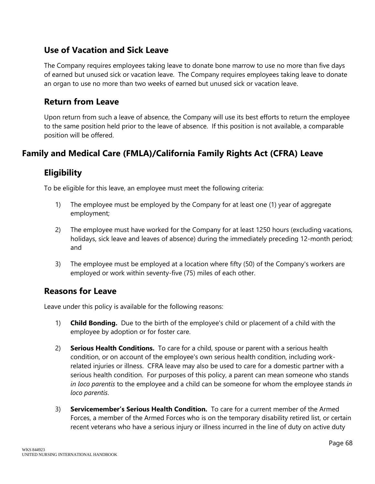## **Use of Vacation and Sick Leave**

The Company requires employees taking leave to donate bone marrow to use no more than five days of earned but unused sick or vacation leave. The Company requires employees taking leave to donate an organ to use no more than two weeks of earned but unused sick or vacation leave.

#### **Return from Leave**

Upon return from such a leave of absence, the Company will use its best efforts to return the employee to the same position held prior to the leave of absence. If this position is not available, a comparable position will be offered.

# **Family and Medical Care (FMLA)/California Family Rights Act (CFRA) Leave**

## **Eligibility**

To be eligible for this leave, an employee must meet the following criteria:

- 1) The employee must be employed by the Company for at least one (1) year of aggregate employment;
- 2) The employee must have worked for the Company for at least 1250 hours (excluding vacations, holidays, sick leave and leaves of absence) during the immediately preceding 12-month period; and
- 3) The employee must be employed at a location where fifty (50) of the Company's workers are employed or work within seventy-five (75) miles of each other.

#### **Reasons for Leave**

Leave under this policy is available for the following reasons:

- 1) **Child Bonding.** Due to the birth of the employee's child or placement of a child with the employee by adoption or for foster care.
- 2) **Serious Health Conditions.** To care for a child, spouse or parent with a serious health condition, or on account of the employee's own serious health condition, including workrelated injuries or illness. CFRA leave may also be used to care for a domestic partner with a serious health condition. For purposes of this policy, a parent can mean someone who stands *in loco parentis* to the employee and a child can be someone for whom the employee stands *in loco parentis*.
- 3) **Servicemember's Serious Health Condition.** To care for a current member of the Armed Forces, a member of the Armed Forces who is on the temporary disability retired list, or certain recent veterans who have a serious injury or illness incurred in the line of duty on active duty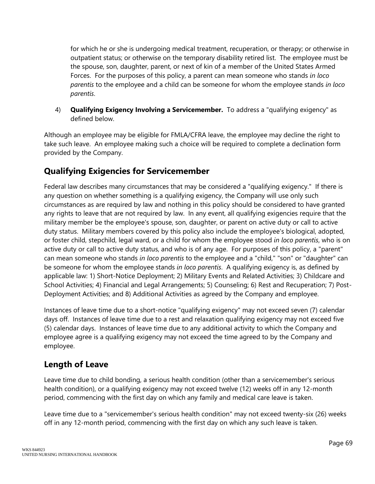for which he or she is undergoing medical treatment, recuperation, or therapy; or otherwise in outpatient status; or otherwise on the temporary disability retired list. The employee must be the spouse, son, daughter, parent, or next of kin of a member of the United States Armed Forces. For the purposes of this policy, a parent can mean someone who stands *in loco parentis* to the employee and a child can be someone for whom the employee stands *in loco parentis*.

4) **Qualifying Exigency Involving a Servicemember.** To address a "qualifying exigency" as defined below.

Although an employee may be eligible for FMLA/CFRA leave, the employee may decline the right to take such leave. An employee making such a choice will be required to complete a declination form provided by the Company.

# **Qualifying Exigencies for Servicemember**

Federal law describes many circumstances that may be considered a "qualifying exigency." If there is any question on whether something is a qualifying exigency, the Company will use only such circumstances as are required by law and nothing in this policy should be considered to have granted any rights to leave that are not required by law. In any event, all qualifying exigencies require that the military member be the employee's spouse, son, daughter, or parent on active duty or call to active duty status. Military members covered by this policy also include the employee's biological, adopted, or foster child, stepchild, legal ward, or a child for whom the employee stood *in loco parentis*, who is on active duty or call to active duty status, and who is of any age. For purposes of this policy, a "parent" can mean someone who stands *in loco parentis* to the employee and a "child," "son" or "daughter" can be someone for whom the employee stands *in loco parentis*. A qualifying exigency is, as defined by applicable law: 1) Short-Notice Deployment; 2) Military Events and Related Activities; 3) Childcare and School Activities; 4) Financial and Legal Arrangements; 5) Counseling; 6) Rest and Recuperation; 7) Post-Deployment Activities; and 8) Additional Activities as agreed by the Company and employee.

Instances of leave time due to a short-notice "qualifying exigency" may not exceed seven (7) calendar days off. Instances of leave time due to a rest and relaxation qualifying exigency may not exceed five (5) calendar days. Instances of leave time due to any additional activity to which the Company and employee agree is a qualifying exigency may not exceed the time agreed to by the Company and employee.

## **Length of Leave**

Leave time due to child bonding, a serious health condition (other than a servicemember's serious health condition), or a qualifying exigency may not exceed twelve (12) weeks off in any 12-month period, commencing with the first day on which any family and medical care leave is taken.

Leave time due to a "servicemember's serious health condition" may not exceed twenty-six (26) weeks off in any 12-month period, commencing with the first day on which any such leave is taken.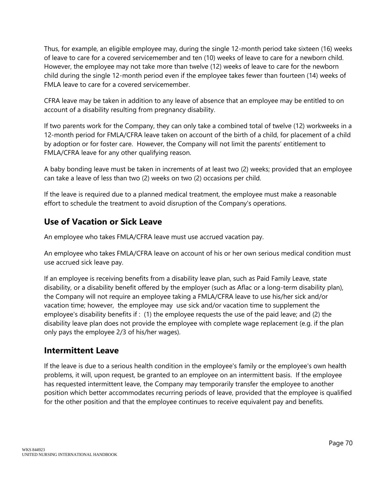Thus, for example, an eligible employee may, during the single 12-month period take sixteen (16) weeks of leave to care for a covered servicemember and ten (10) weeks of leave to care for a newborn child. However, the employee may not take more than twelve (12) weeks of leave to care for the newborn child during the single 12-month period even if the employee takes fewer than fourteen (14) weeks of FMLA leave to care for a covered servicemember.

CFRA leave may be taken in addition to any leave of absence that an employee may be entitled to on account of a disability resulting from pregnancy disability.

If two parents work for the Company, they can only take a combined total of twelve (12) workweeks in a 12-month period for FMLA/CFRA leave taken on account of the birth of a child, for placement of a child by adoption or for foster care. However, the Company will not limit the parents' entitlement to FMLA/CFRA leave for any other qualifying reason.

A baby bonding leave must be taken in increments of at least two (2) weeks; provided that an employee can take a leave of less than two (2) weeks on two (2) occasions per child.

If the leave is required due to a planned medical treatment, the employee must make a reasonable effort to schedule the treatment to avoid disruption of the Company's operations.

# **Use of Vacation or Sick Leave**

An employee who takes FMLA/CFRA leave must use accrued vacation pay.

An employee who takes FMLA/CFRA leave on account of his or her own serious medical condition must use accrued sick leave pay.

If an employee is receiving benefits from a disability leave plan, such as Paid Family Leave, state disability, or a disability benefit offered by the employer (such as Aflac or a long-term disability plan), the Company will not require an employee taking a FMLA/CFRA leave to use his/her sick and/or vacation time; however, the employee may use sick and/or vacation time to supplement the employee's disability benefits if : (1) the employee requests the use of the paid leave; and (2) the disability leave plan does not provide the employee with complete wage replacement (e.g. if the plan only pays the employee 2/3 of his/her wages).

#### **Intermittent Leave**

If the leave is due to a serious health condition in the employee's family or the employee's own health problems, it will, upon request, be granted to an employee on an intermittent basis. If the employee has requested intermittent leave, the Company may temporarily transfer the employee to another position which better accommodates recurring periods of leave, provided that the employee is qualified for the other position and that the employee continues to receive equivalent pay and benefits.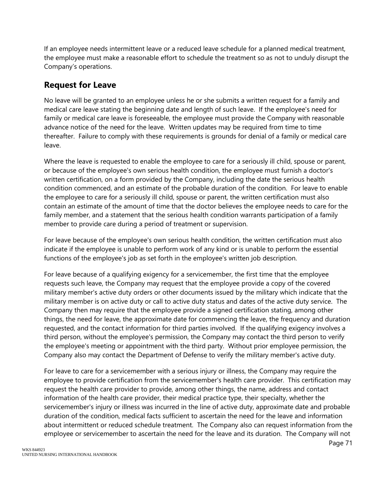If an employee needs intermittent leave or a reduced leave schedule for a planned medical treatment, the employee must make a reasonable effort to schedule the treatment so as not to unduly disrupt the Company's operations.

# **Request for Leave**

No leave will be granted to an employee unless he or she submits a written request for a family and medical care leave stating the beginning date and length of such leave. If the employee's need for family or medical care leave is foreseeable, the employee must provide the Company with reasonable advance notice of the need for the leave. Written updates may be required from time to time thereafter. Failure to comply with these requirements is grounds for denial of a family or medical care leave.

Where the leave is requested to enable the employee to care for a seriously ill child, spouse or parent, or because of the employee's own serious health condition, the employee must furnish a doctor's written certification, on a form provided by the Company, including the date the serious health condition commenced, and an estimate of the probable duration of the condition. For leave to enable the employee to care for a seriously ill child, spouse or parent, the written certification must also contain an estimate of the amount of time that the doctor believes the employee needs to care for the family member, and a statement that the serious health condition warrants participation of a family member to provide care during a period of treatment or supervision.

For leave because of the employee's own serious health condition, the written certification must also indicate if the employee is unable to perform work of any kind or is unable to perform the essential functions of the employee's job as set forth in the employee's written job description.

For leave because of a qualifying exigency for a servicemember, the first time that the employee requests such leave, the Company may request that the employee provide a copy of the covered military member's active duty orders or other documents issued by the military which indicate that the military member is on active duty or call to active duty status and dates of the active duty service. The Company then may require that the employee provide a signed certification stating, among other things, the need for leave, the approximate date for commencing the leave, the frequency and duration requested, and the contact information for third parties involved. If the qualifying exigency involves a third person, without the employee's permission, the Company may contact the third person to verify the employee's meeting or appointment with the third party. Without prior employee permission, the Company also may contact the Department of Defense to verify the military member's active duty.

For leave to care for a servicemember with a serious injury or illness, the Company may require the employee to provide certification from the servicemember's health care provider. This certification may request the health care provider to provide, among other things, the name, address and contact information of the health care provider, their medical practice type, their specialty, whether the servicemember's injury or illness was incurred in the line of active duty, approximate date and probable duration of the condition, medical facts sufficient to ascertain the need for the leave and information about intermittent or reduced schedule treatment. The Company also can request information from the employee or servicemember to ascertain the need for the leave and its duration. The Company will not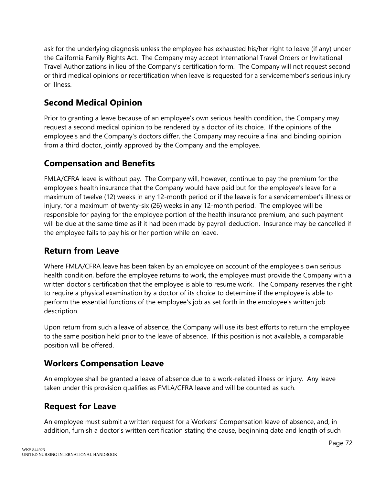ask for the underlying diagnosis unless the employee has exhausted his/her right to leave (if any) under the California Family Rights Act. The Company may accept International Travel Orders or Invitational Travel Authorizations in lieu of the Company's certification form. The Company will not request second or third medical opinions or recertification when leave is requested for a servicemember's serious injury or illness.

## **Second Medical Opinion**

Prior to granting a leave because of an employee's own serious health condition, the Company may request a second medical opinion to be rendered by a doctor of its choice. If the opinions of the employee's and the Company's doctors differ, the Company may require a final and binding opinion from a third doctor, jointly approved by the Company and the employee.

## **Compensation and Benefits**

FMLA/CFRA leave is without pay. The Company will, however, continue to pay the premium for the employee's health insurance that the Company would have paid but for the employee's leave for a maximum of twelve (12) weeks in any 12-month period or if the leave is for a servicemember's illness or injury, for a maximum of twenty-six (26) weeks in any 12-month period. The employee will be responsible for paying for the employee portion of the health insurance premium, and such payment will be due at the same time as if it had been made by payroll deduction. Insurance may be cancelled if the employee fails to pay his or her portion while on leave.

#### **Return from Leave**

Where FMLA/CFRA leave has been taken by an employee on account of the employee's own serious health condition, before the employee returns to work, the employee must provide the Company with a written doctor's certification that the employee is able to resume work. The Company reserves the right to require a physical examination by a doctor of its choice to determine if the employee is able to perform the essential functions of the employee's job as set forth in the employee's written job description.

Upon return from such a leave of absence, the Company will use its best efforts to return the employee to the same position held prior to the leave of absence. If this position is not available, a comparable position will be offered.

#### **Workers Compensation Leave**

An employee shall be granted a leave of absence due to a work-related illness or injury. Any leave taken under this provision qualifies as FMLA/CFRA leave and will be counted as such.

## **Request for Leave**

An employee must submit a written request for a Workers' Compensation leave of absence, and, in addition, furnish a doctor's written certification stating the cause, beginning date and length of such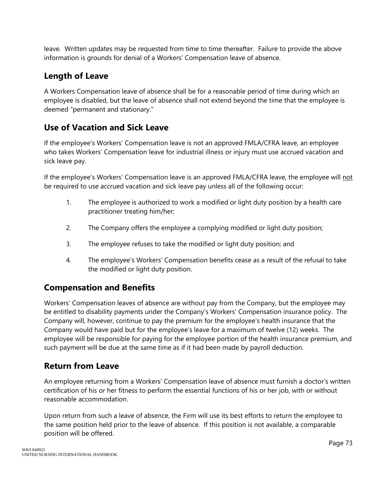leave. Written updates may be requested from time to time thereafter. Failure to provide the above information is grounds for denial of a Workers' Compensation leave of absence.

## **Length of Leave**

A Workers Compensation leave of absence shall be for a reasonable period of time during which an employee is disabled, but the leave of absence shall not extend beyond the time that the employee is deemed "permanent and stationary."

# **Use of Vacation and Sick Leave**

If the employee's Workers' Compensation leave is not an approved FMLA/CFRA leave, an employee who takes Workers' Compensation leave for industrial illness or injury must use accrued vacation and sick leave pay.

If the employee's Workers' Compensation leave is an approved FMLA/CFRA leave, the employee will not be required to use accrued vacation and sick leave pay unless all of the following occur:

- 1. The employee is authorized to work a modified or light duty position by a health care practitioner treating him/her;
- 2. The Company offers the employee a complying modified or light duty position;
- 3. The employee refuses to take the modified or light duty position; and
- 4. The employee's Workers' Compensation benefits cease as a result of the refusal to take the modified or light duty position.

## **Compensation and Benefits**

Workers' Compensation leaves of absence are without pay from the Company, but the employee may be entitled to disability payments under the Company's Workers' Compensation insurance policy. The Company will, however, continue to pay the premium for the employee's health insurance that the Company would have paid but for the employee's leave for a maximum of twelve (12) weeks. The employee will be responsible for paying for the employee portion of the health insurance premium, and such payment will be due at the same time as if it had been made by payroll deduction.

# **Return from Leave**

An employee returning from a Workers' Compensation leave of absence must furnish a doctor's written certification of his or her fitness to perform the essential functions of his or her job, with or without reasonable accommodation.

Upon return from such a leave of absence, the Firm will use its best efforts to return the employee to the same position held prior to the leave of absence. If this position is not available, a comparable position will be offered.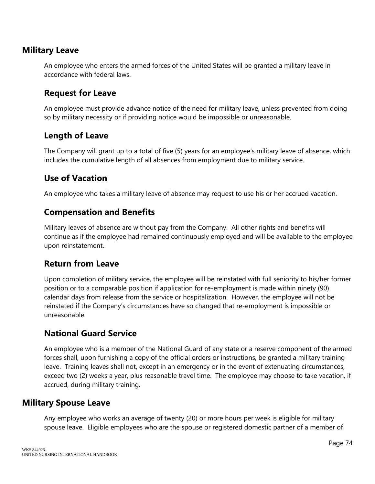#### **Military Leave**

An employee who enters the armed forces of the United States will be granted a military leave in accordance with federal laws.

#### **Request for Leave**

An employee must provide advance notice of the need for military leave, unless prevented from doing so by military necessity or if providing notice would be impossible or unreasonable.

#### **Length of Leave**

The Company will grant up to a total of five (5) years for an employee's military leave of absence, which includes the cumulative length of all absences from employment due to military service.

## **Use of Vacation**

An employee who takes a military leave of absence may request to use his or her accrued vacation.

## **Compensation and Benefits**

Military leaves of absence are without pay from the Company. All other rights and benefits will continue as if the employee had remained continuously employed and will be available to the employee upon reinstatement.

#### **Return from Leave**

Upon completion of military service, the employee will be reinstated with full seniority to his/her former position or to a comparable position if application for re-employment is made within ninety (90) calendar days from release from the service or hospitalization. However, the employee will not be reinstated if the Company's circumstances have so changed that re-employment is impossible or unreasonable.

## **National Guard Service**

An employee who is a member of the National Guard of any state or a reserve component of the armed forces shall, upon furnishing a copy of the official orders or instructions, be granted a military training leave. Training leaves shall not, except in an emergency or in the event of extenuating circumstances, exceed two (2) weeks a year, plus reasonable travel time. The employee may choose to take vacation, if accrued, during military training.

#### **Military Spouse Leave**

Any employee who works an average of twenty (20) or more hours per week is eligible for military spouse leave. Eligible employees who are the spouse or registered domestic partner of a member of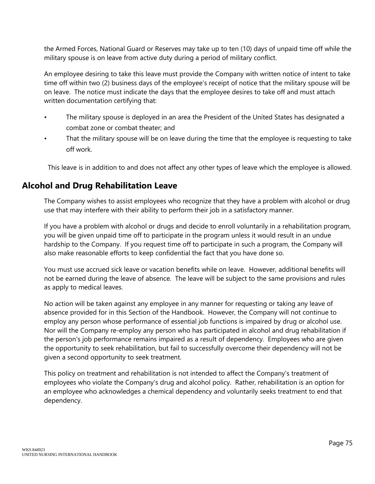the Armed Forces, National Guard or Reserves may take up to ten (10) days of unpaid time off while the military spouse is on leave from active duty during a period of military conflict.

An employee desiring to take this leave must provide the Company with written notice of intent to take time off within two (2) business days of the employee's receipt of notice that the military spouse will be on leave. The notice must indicate the days that the employee desires to take off and must attach written documentation certifying that:

- The military spouse is deployed in an area the President of the United States has designated a combat zone or combat theater; and
- That the military spouse will be on leave during the time that the employee is requesting to take off work.

This leave is in addition to and does not affect any other types of leave which the employee is allowed.

#### **Alcohol and Drug Rehabilitation Leave**

The Company wishes to assist employees who recognize that they have a problem with alcohol or drug use that may interfere with their ability to perform their job in a satisfactory manner.

If you have a problem with alcohol or drugs and decide to enroll voluntarily in a rehabilitation program, you will be given unpaid time off to participate in the program unless it would result in an undue hardship to the Company. If you request time off to participate in such a program, the Company will also make reasonable efforts to keep confidential the fact that you have done so.

You must use accrued sick leave or vacation benefits while on leave. However, additional benefits will not be earned during the leave of absence. The leave will be subject to the same provisions and rules as apply to medical leaves.

No action will be taken against any employee in any manner for requesting or taking any leave of absence provided for in this Section of the Handbook. However, the Company will not continue to employ any person whose performance of essential job functions is impaired by drug or alcohol use. Nor will the Company re-employ any person who has participated in alcohol and drug rehabilitation if the person's job performance remains impaired as a result of dependency. Employees who are given the opportunity to seek rehabilitation, but fail to successfully overcome their dependency will not be given a second opportunity to seek treatment.

This policy on treatment and rehabilitation is not intended to affect the Company's treatment of employees who violate the Company's drug and alcohol policy. Rather, rehabilitation is an option for an employee who acknowledges a chemical dependency and voluntarily seeks treatment to end that dependency.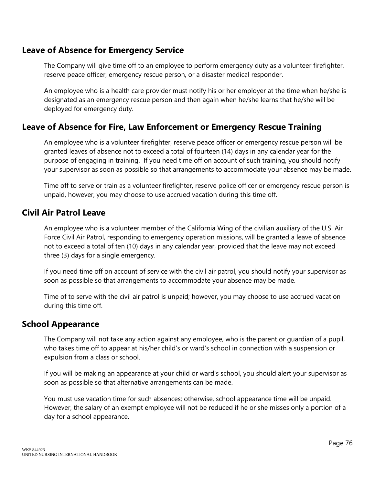## **Leave of Absence for Emergency Service**

The Company will give time off to an employee to perform emergency duty as a volunteer firefighter, reserve peace officer, emergency rescue person, or a disaster medical responder.

An employee who is a health care provider must notify his or her employer at the time when he/she is designated as an emergency rescue person and then again when he/she learns that he/she will be deployed for emergency duty.

## **Leave of Absence for Fire, Law Enforcement or Emergency Rescue Training**

An employee who is a volunteer firefighter, reserve peace officer or emergency rescue person will be granted leaves of absence not to exceed a total of fourteen (14) days in any calendar year for the purpose of engaging in training. If you need time off on account of such training, you should notify your supervisor as soon as possible so that arrangements to accommodate your absence may be made.

Time off to serve or train as a volunteer firefighter, reserve police officer or emergency rescue person is unpaid, however, you may choose to use accrued vacation during this time off.

#### **Civil Air Patrol Leave**

An employee who is a volunteer member of the California Wing of the civilian auxiliary of the U.S. Air Force Civil Air Patrol, responding to emergency operation missions, will be granted a leave of absence not to exceed a total of ten (10) days in any calendar year, provided that the leave may not exceed three (3) days for a single emergency.

If you need time off on account of service with the civil air patrol, you should notify your supervisor as soon as possible so that arrangements to accommodate your absence may be made.

Time of to serve with the civil air patrol is unpaid; however, you may choose to use accrued vacation during this time off.

#### **School Appearance**

The Company will not take any action against any employee, who is the parent or guardian of a pupil, who takes time off to appear at his/her child's or ward's school in connection with a suspension or expulsion from a class or school.

If you will be making an appearance at your child or ward's school, you should alert your supervisor as soon as possible so that alternative arrangements can be made.

You must use vacation time for such absences; otherwise, school appearance time will be unpaid. However, the salary of an exempt employee will not be reduced if he or she misses only a portion of a day for a school appearance.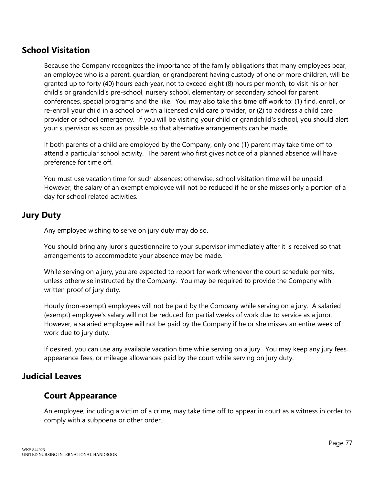#### **School Visitation**

Because the Company recognizes the importance of the family obligations that many employees bear, an employee who is a parent, guardian, or grandparent having custody of one or more children, will be granted up to forty (40) hours each year, not to exceed eight (8) hours per month, to visit his or her child's or grandchild's pre-school, nursery school, elementary or secondary school for parent conferences, special programs and the like. You may also take this time off work to: (1) find, enroll, or re-enroll your child in a school or with a licensed child care provider, or (2) to address a child care provider or school emergency. If you will be visiting your child or grandchild's school, you should alert your supervisor as soon as possible so that alternative arrangements can be made.

If both parents of a child are employed by the Company, only one (1) parent may take time off to attend a particular school activity. The parent who first gives notice of a planned absence will have preference for time off.

You must use vacation time for such absences; otherwise, school visitation time will be unpaid. However, the salary of an exempt employee will not be reduced if he or she misses only a portion of a day for school related activities.

#### **Jury Duty**

Any employee wishing to serve on jury duty may do so.

You should bring any juror's questionnaire to your supervisor immediately after it is received so that arrangements to accommodate your absence may be made.

While serving on a jury, you are expected to report for work whenever the court schedule permits, unless otherwise instructed by the Company. You may be required to provide the Company with written proof of jury duty.

Hourly (non-exempt) employees will not be paid by the Company while serving on a jury. A salaried (exempt) employee's salary will not be reduced for partial weeks of work due to service as a juror. However, a salaried employee will not be paid by the Company if he or she misses an entire week of work due to jury duty.

If desired, you can use any available vacation time while serving on a jury. You may keep any jury fees, appearance fees, or mileage allowances paid by the court while serving on jury duty.

#### **Judicial Leaves**

#### **Court Appearance**

An employee, including a victim of a crime, may take time off to appear in court as a witness in order to comply with a subpoena or other order.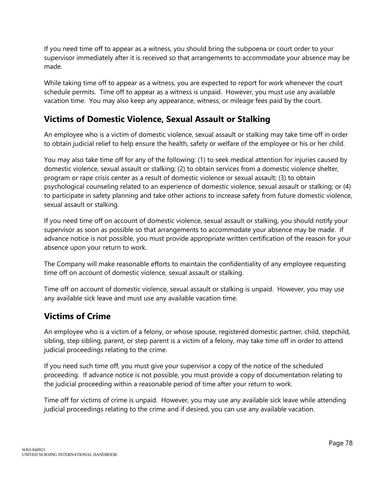If you need time off to appear as a witness, you should bring the subpoena or court order to your supervisor immediately after it is received so that arrangements to accommodate your absence may be made.

While taking time off to appear as a witness, you are expected to report for work whenever the court schedule permits. Time off to appear as a witness is unpaid. However, you must use any available vacation time. You may also keep any appearance, witness, or mileage fees paid by the court.

# **Victims of Domestic Violence, Sexual Assault or Stalking**

An employee who is a victim of domestic violence, sexual assault or stalking may take time off in order to obtain judicial relief to help ensure the health, safety or welfare of the employee or his or her child.

You may also take time off for any of the following: (1) to seek medical attention for injuries caused by domestic violence, sexual assault or stalking; (2) to obtain services from a domestic violence shelter, program or rape crisis center as a result of domestic violence or sexual assault; (3) to obtain psychological counseling related to an experience of domestic violence, sexual assault or stalking; or (4) to participate in safety planning and take other actions to increase safety from future domestic violence, sexual assault or stalking.

If you need time off on account of domestic violence, sexual assault or stalking, you should notify your supervisor as soon as possible so that arrangements to accommodate your absence may be made. If advance notice is not possible, you must provide appropriate written certification of the reason for your absence upon your return to work.

The Company will make reasonable efforts to maintain the confidentiality of any employee requesting time off on account of domestic violence, sexual assault or stalking.

Time off on account of domestic violence, sexual assault or stalking is unpaid. However, you may use any available sick leave and must use any available vacation time.

# **Victims of Crime**

An employee who is a victim of a felony, or whose spouse, registered domestic partner, child, stepchild, sibling, step sibling, parent, or step parent is a victim of a felony, may take time off in order to attend judicial proceedings relating to the crime.

If you need such time off, you must give your supervisor a copy of the notice of the scheduled proceeding. If advance notice is not possible, you must provide a copy of documentation relating to the judicial proceeding within a reasonable period of time after your return to work.

Time off for victims of crime is unpaid. However, you may use any available sick leave while attending judicial proceedings relating to the crime and if desired, you can use any available vacation.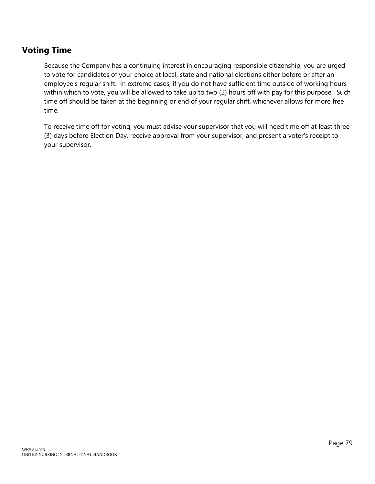## **Voting Time**

Because the Company has a continuing interest in encouraging responsible citizenship, you are urged to vote for candidates of your choice at local, state and national elections either before or after an employee's regular shift. In extreme cases, if you do not have sufficient time outside of working hours within which to vote, you will be allowed to take up to two (2) hours off with pay for this purpose. Such time off should be taken at the beginning or end of your regular shift, whichever allows for more free time.

To receive time off for voting, you must advise your supervisor that you will need time off at least three (3) days before Election Day, receive approval from your supervisor, and present a voter's receipt to your supervisor.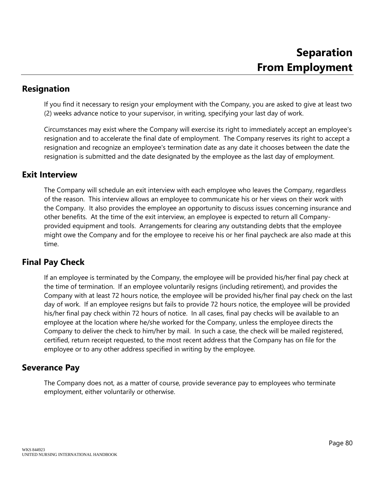### **Resignation**

If you find it necessary to resign your employment with the Company, you are asked to give at least two (2) weeks advance notice to your supervisor, in writing, specifying your last day of work.

Circumstances may exist where the Company will exercise its right to immediately accept an employee's resignation and to accelerate the final date of employment. The Company reserves its right to accept a resignation and recognize an employee's termination date as any date it chooses between the date the resignation is submitted and the date designated by the employee as the last day of employment.

#### **Exit Interview**

The Company will schedule an exit interview with each employee who leaves the Company, regardless of the reason. This interview allows an employee to communicate his or her views on their work with the Company. It also provides the employee an opportunity to discuss issues concerning insurance and other benefits. At the time of the exit interview, an employee is expected to return all Companyprovided equipment and tools. Arrangements for clearing any outstanding debts that the employee might owe the Company and for the employee to receive his or her final paycheck are also made at this time.

#### **Final Pay Check**

If an employee is terminated by the Company, the employee will be provided his/her final pay check at the time of termination. If an employee voluntarily resigns (including retirement), and provides the Company with at least 72 hours notice, the employee will be provided his/her final pay check on the last day of work. If an employee resigns but fails to provide 72 hours notice, the employee will be provided his/her final pay check within 72 hours of notice. In all cases, final pay checks will be available to an employee at the location where he/she worked for the Company, unless the employee directs the Company to deliver the check to him/her by mail. In such a case, the check will be mailed registered, certified, return receipt requested, to the most recent address that the Company has on file for the employee or to any other address specified in writing by the employee.

#### **Severance Pay**

The Company does not, as a matter of course, provide severance pay to employees who terminate employment, either voluntarily or otherwise.